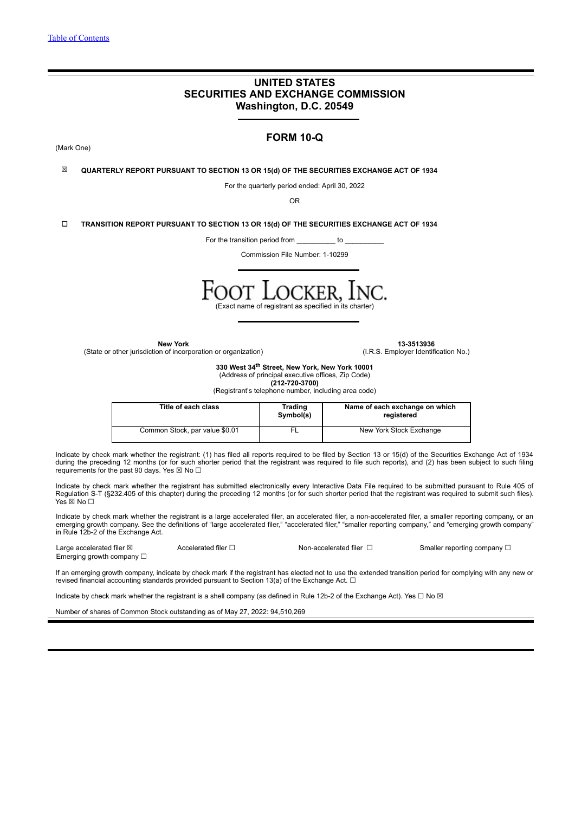## **UNITED STATES SECURITIES AND EXCHANGE COMMISSION Washington, D.C. 20549**

(Mark One)

## **FORM 10-Q**

☒ **QUARTERLY REPORT PURSUANT TO SECTION 13 OR 15(d) OF THE SECURITIES EXCHANGE ACT OF 1934**

For the quarterly period ended: April 30, 2022

OR

☐ **TRANSITION REPORT PURSUANT TO SECTION 13 OR 15(d) OF THE SECURITIES EXCHANGE ACT OF 1934**

For the transition period from \_\_\_\_\_\_\_\_\_\_ to

Commission File Number: 1-10299

## dot Locker, Inc. (Exact name of registrant as specified in its charter)

(State or other jurisdiction of incorporation or organization)

**New York 13-3513936**<br>
on of incorporation or organization) (I.R.S. Employer Identification No.)

**330 West 34 th Street, New York, New York 10001** (Address of principal executive offices, Zip Code)

**(212-720-3700)**

(Registrant's telephone number, including area code)

| Title of each class            | Trading<br>Symbol(s) | Name of each exchange on which<br>reaistered |
|--------------------------------|----------------------|----------------------------------------------|
| Common Stock, par value \$0.01 | FL                   | New York Stock Exchange                      |

Indicate by check mark whether the registrant: (1) has filed all reports required to be filed by Section 13 or 15(d) of the Securities Exchange Act of 1934 during the preceding 12 months (or for such shorter period that the registrant was required to file such reports), and (2) has been subject to such filing requirements for the past 90 days. Yes  $\boxtimes$  No  $\Box$ 

Indicate by check mark whether the registrant has submitted electronically every Interactive Data File required to be submitted pursuant to Rule 405 of Regulation S-T (§232.405 of this chapter) during the preceding 12 months (or for such shorter period that the registrant was required to submit such files). Nes ⊠ No □

Indicate by check mark whether the registrant is a large accelerated filer, an accelerated filer, a non-accelerated filer, a smaller reporting company, or an emerging growth company. See the definitions of "large accelerated filer," "accelerated filer," "smaller reporting company," and "emerging growth company" in Rule 12b-2 of the Exchange Act.

Emerging growth company □

Large accelerated filer ⊠ Accelerated filer □ Non-accelerated filer □ Smaller reporting company □

If an emerging growth company, indicate by check mark if the registrant has elected not to use the extended transition period for complying with any new or revised financial accounting standards provided pursuant to Section 13(a) of the Exchange Act. □

Indicate by check mark whether the registrant is a shell company (as defined in Rule 12b-2 of the Exchange Act). Yes □ No ⊠

Number of shares of Common Stock outstanding as of May 27, 2022: 94,510,269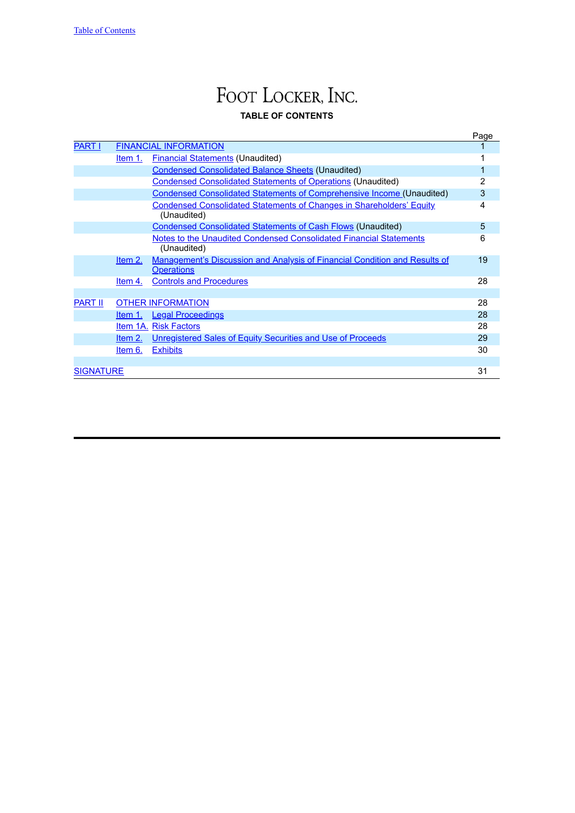## **TABLE OF CONTENTS**

<span id="page-1-0"></span>

|                  |            |                                                                                                 | Page           |
|------------------|------------|-------------------------------------------------------------------------------------------------|----------------|
| <b>PART I</b>    |            | <b>FINANCIAL INFORMATION</b>                                                                    |                |
|                  | ltem 1.    | <b>Financial Statements (Unaudited)</b>                                                         | 1              |
|                  |            | <b>Condensed Consolidated Balance Sheets (Unaudited)</b>                                        | 1              |
|                  |            | <b>Condensed Consolidated Statements of Operations (Unaudited)</b>                              | $\overline{2}$ |
|                  |            | Condensed Consolidated Statements of Comprehensive Income (Unaudited)                           | 3              |
|                  |            | <b>Condensed Consolidated Statements of Changes in Shareholders' Equity</b><br>(Unaudited)      | 4              |
|                  |            | <b>Condensed Consolidated Statements of Cash Flows (Unaudited)</b>                              | 5              |
|                  |            | <b>Notes to the Unaudited Condensed Consolidated Financial Statements</b><br>(Unaudited)        | 6              |
|                  | Item $2.$  | Management's Discussion and Analysis of Financial Condition and Results of<br><b>Operations</b> | 19             |
|                  | Item 4.    | <b>Controls and Procedures</b>                                                                  | 28             |
|                  |            |                                                                                                 |                |
| <b>PART II</b>   |            | <b>OTHER INFORMATION</b>                                                                        | 28             |
|                  |            | <u>Item 1. Legal Proceedings</u>                                                                | 28             |
|                  |            | Item 1A. Risk Factors                                                                           | 28             |
|                  | Item $2$ . | Unregistered Sales of Equity Securities and Use of Proceeds                                     | 29             |
|                  | Item 6.    | <b>Exhibits</b>                                                                                 | 30             |
|                  |            |                                                                                                 |                |
| <b>SIGNATURE</b> |            |                                                                                                 | 31             |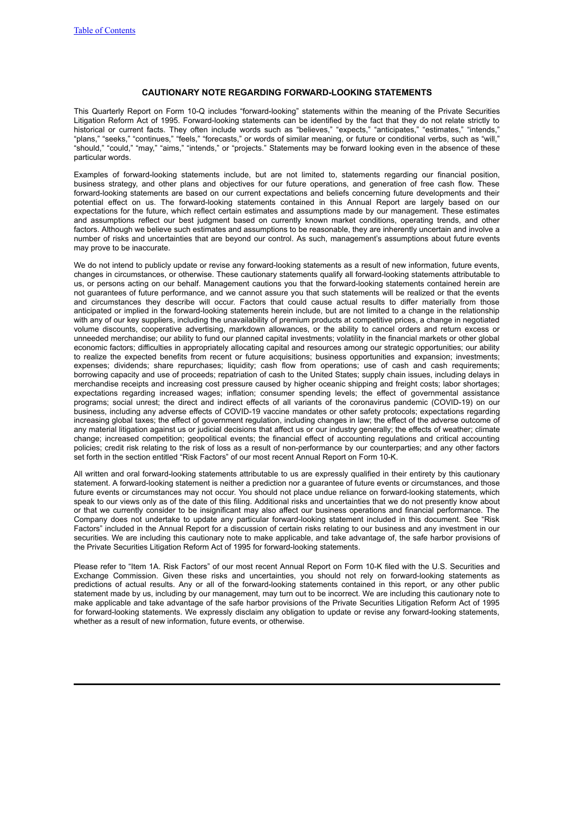#### **CAUTIONARY NOTE REGARDING FORWARD-LOOKING STATEMENTS**

This Quarterly Report on Form 10-Q includes "forward-looking" statements within the meaning of the Private Securities Litigation Reform Act of 1995. Forward-looking statements can be identified by the fact that they do not relate strictly to historical or current facts. They often include words such as "believes," "expects," "anticipates," "estimates," "intends," "plans," "seeks," "continues," "feels," "forecasts," or words of similar meaning, or future or conditional verbs, such as "will," "should," "could," "may," "aims," "intends," or "projects." Statements may be forward looking even in the absence of these particular words.

Examples of forward-looking statements include, but are not limited to, statements regarding our financial position, business strategy, and other plans and objectives for our future operations, and generation of free cash flow. These forward-looking statements are based on our current expectations and beliefs concerning future developments and their potential effect on us. The forward-looking statements contained in this Annual Report are largely based on our expectations for the future, which reflect certain estimates and assumptions made by our management. These estimates and assumptions reflect our best judgment based on currently known market conditions, operating trends, and other factors. Although we believe such estimates and assumptions to be reasonable, they are inherently uncertain and involve a number of risks and uncertainties that are beyond our control. As such, management's assumptions about future events may prove to be inaccurate.

We do not intend to publicly update or revise any forward-looking statements as a result of new information, future events, changes in circumstances, or otherwise. These cautionary statements qualify all forward-looking statements attributable to us, or persons acting on our behalf. Management cautions you that the forward-looking statements contained herein are not guarantees of future performance, and we cannot assure you that such statements will be realized or that the events and circumstances they describe will occur. Factors that could cause actual results to differ materially from those anticipated or implied in the forward-looking statements herein include, but are not limited to a change in the relationship with any of our key suppliers, including the unavailability of premium products at competitive prices, a change in negotiated volume discounts, cooperative advertising, markdown allowances, or the ability to cancel orders and return excess or unneeded merchandise; our ability to fund our planned capital investments; volatility in the financial markets or other global economic factors; difficulties in appropriately allocating capital and resources among our strategic opportunities; our ability to realize the expected benefits from recent or future acquisitions; business opportunities and expansion; investments; expenses; dividends; share repurchases; liquidity; cash flow from operations; use of cash and cash requirements; borrowing capacity and use of proceeds; repatriation of cash to the United States; supply chain issues, including delays in merchandise receipts and increasing cost pressure caused by higher oceanic shipping and freight costs; labor shortages; expectations regarding increased wages; inflation; consumer spending levels; the effect of governmental assistance programs; social unrest; the direct and indirect effects of all variants of the coronavirus pandemic (COVID-19) on our business, including any adverse effects of COVID-19 vaccine mandates or other safety protocols; expectations regarding increasing global taxes; the effect of government regulation, including changes in law; the effect of the adverse outcome of any material litigation against us or judicial decisions that affect us or our industry generally; the effects of weather; climate change; increased competition; geopolitical events; the financial effect of accounting regulations and critical accounting policies; credit risk relating to the risk of loss as a result of non-performance by our counterparties; and any other factors set forth in the section entitled "Risk Factors" of our most recent Annual Report on Form 10-K.

All written and oral forward-looking statements attributable to us are expressly qualified in their entirety by this cautionary statement. A forward-looking statement is neither a prediction nor a guarantee of future events or circumstances, and those future events or circumstances may not occur. You should not place undue reliance on forward-looking statements, which speak to our views only as of the date of this filing. Additional risks and uncertainties that we do not presently know about or that we currently consider to be insignificant may also affect our business operations and financial performance. The Company does not undertake to update any particular forward-looking statement included in this document. See "Risk Factors" included in the Annual Report for a discussion of certain risks relating to our business and any investment in our securities. We are including this cautionary note to make applicable, and take advantage of, the safe harbor provisions of the Private Securities Litigation Reform Act of 1995 for forward-looking statements.

Please refer to "Item 1A. Risk Factors" of our most recent Annual Report on Form 10-K filed with the U.S. Securities and Exchange Commission. Given these risks and uncertainties, you should not rely on forward-looking statements as predictions of actual results. Any or all of the forward-looking statements contained in this report, or any other public statement made by us, including by our management, may turn out to be incorrect. We are including this cautionary note to make applicable and take advantage of the safe harbor provisions of the Private Securities Litigation Reform Act of 1995 for forward-looking statements. We expressly disclaim any obligation to update or revise any forward-looking statements, whether as a result of new information, future events, or otherwise.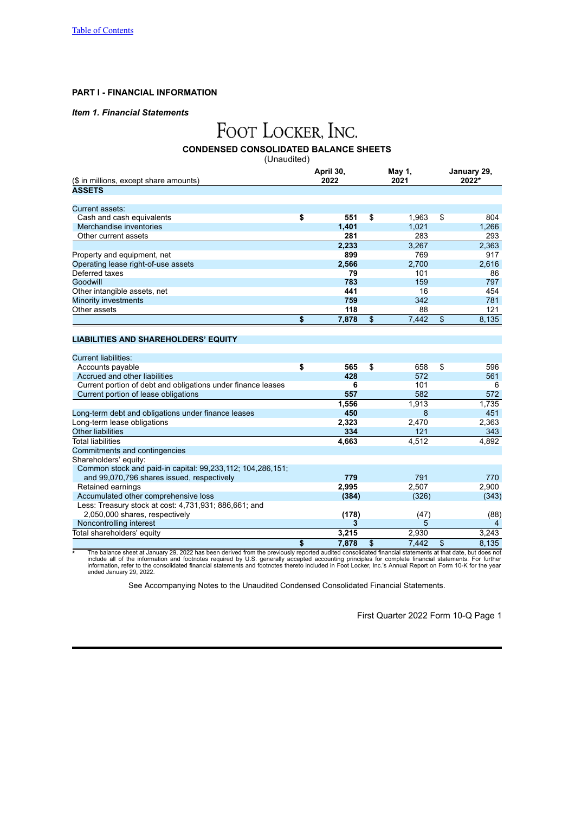## <span id="page-3-0"></span>**PART I - FINANCIAL INFORMATION**

#### <span id="page-3-1"></span>*Item 1. Financial Statements*

## FOOT LOCKER, INC.

## **CONDENSED CONSOLIDATED BALANCE SHEETS**

(Unaudited)

<span id="page-3-2"></span>

| (\$ in millions, except share amounts)                                     | April 30,<br>2022 | May 1,<br>2021 | January 29,<br>2022* |
|----------------------------------------------------------------------------|-------------------|----------------|----------------------|
| <b>ASSETS</b>                                                              |                   |                |                      |
|                                                                            |                   |                |                      |
| Current assets:                                                            |                   |                |                      |
| Cash and cash equivalents                                                  | \$<br>551         | \$<br>1,963    | \$<br>804            |
| Merchandise inventories                                                    | 1.401             | 1.021          | 1.266                |
| Other current assets                                                       | 281               | 283            | 293                  |
|                                                                            | 2,233             | 3,267          | 2,363                |
| Property and equipment, net                                                | 899               | 769            | 917                  |
| Operating lease right-of-use assets                                        | 2,566             | 2.700          | 2,616                |
| Deferred taxes                                                             | 79                | 101            | 86                   |
| Goodwill                                                                   | 783               | 159            | 797                  |
| Other intangible assets, net                                               | 441               | 16             | 454                  |
| Minority investments                                                       | 759               | 342            | 781                  |
| Other assets                                                               | 118               | 88             | 121                  |
|                                                                            | \$<br>7,878       | \$<br>7,442    | \$<br>8,135          |
| <b>LIABILITIES AND SHAREHOLDERS' EQUITY</b><br><b>Current liabilities:</b> |                   |                |                      |
| Accounts payable                                                           | \$<br>565         | \$<br>658      | \$<br>596            |
| Accrued and other liabilities                                              | 428               | 572            | 561                  |
| Current portion of debt and obligations under finance leases               | 6                 | 101            | 6                    |
| Current portion of lease obligations                                       | 557               | 582            | 572                  |
|                                                                            | 1,556             | 1,913          | 1,735                |
| Long-term debt and obligations under finance leases                        | 450               | 8              | 451                  |
| Long-term lease obligations                                                | 2,323             | 2,470          | 2,363                |
| <b>Other liabilities</b>                                                   | 334               | 121            | 343                  |
| <b>Total liabilities</b>                                                   | 4,663             | 4,512          | 4,892                |
| Commitments and contingencies                                              |                   |                |                      |
| Shareholders' equity:                                                      |                   |                |                      |
| Common stock and paid-in capital: 99,233,112; 104,286,151;                 |                   |                |                      |
| and 99,070,796 shares issued, respectively                                 | 779               | 791            | 770                  |
| Retained earnings                                                          | 2,995             | 2.507          | 2.900                |
| Accumulated other comprehensive loss                                       | (384)             | (326)          | (343)                |
| Less: Treasury stock at cost: 4,731,931; 886,661; and                      |                   |                |                      |
| 2,050,000 shares, respectively                                             | (178)             | (47)           | (88)                 |
| Noncontrolling interest                                                    | 3                 | 5              | 4                    |
| Total shareholders' equity                                                 | 3.215             | 2.930          | 3.243                |

\* The balance sheet at January 29, 2022 has been derived from the previously reported audited consolidated financial statements at that date, but does not include all of the information and footnotes required by U.S. gener

See Accompanying Notes to the Unaudited Condensed Consolidated Financial Statements.

First Quarter 2022 Form 10-Q Page 1

**\$ 7,878** \$ 7,442 \$ 8,135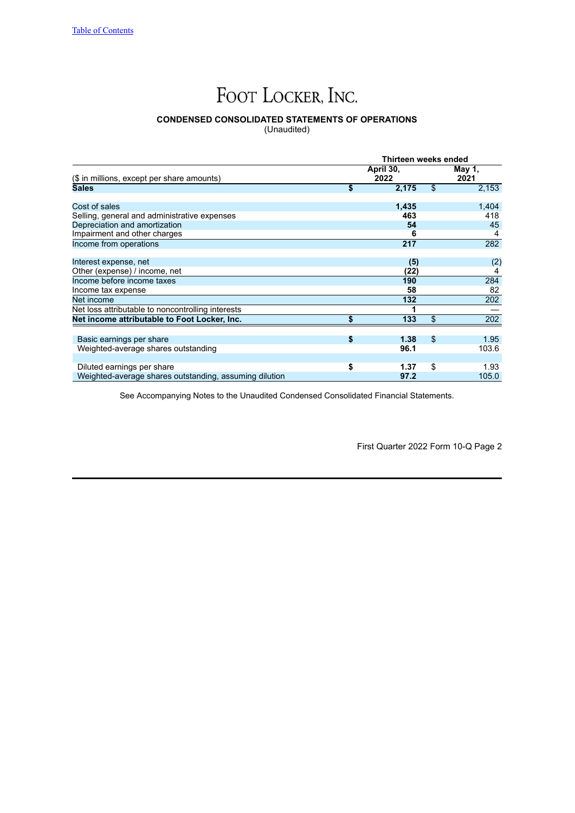## **CONDENSED CONSOLIDATED STATEMENTS OF OPERATIONS**

(Unaudited)

<span id="page-4-0"></span>

|                                                        | Thirteen weeks ended |                   |                |       |  |  |  |  |  |
|--------------------------------------------------------|----------------------|-------------------|----------------|-------|--|--|--|--|--|
| (\$ in millions, except per share amounts)             |                      | April 30,<br>2022 | May 1,<br>2021 |       |  |  |  |  |  |
| <b>Sales</b>                                           | \$                   | 2,175             | \$             | 2,153 |  |  |  |  |  |
| Cost of sales                                          |                      | 1,435             |                | 1,404 |  |  |  |  |  |
| Selling, general and administrative expenses           |                      | 463               |                | 418   |  |  |  |  |  |
| Depreciation and amortization                          |                      | 54                |                | 45    |  |  |  |  |  |
| Impairment and other charges                           |                      | 6                 |                | 4     |  |  |  |  |  |
| Income from operations                                 |                      | 217               |                | 282   |  |  |  |  |  |
| Interest expense, net                                  |                      | (5)               |                | (2)   |  |  |  |  |  |
| Other (expense) / income, net                          |                      | (22)              |                | 4     |  |  |  |  |  |
| Income before income taxes                             |                      | 190               |                | 284   |  |  |  |  |  |
| Income tax expense                                     |                      | 58                |                | 82    |  |  |  |  |  |
| Net income                                             |                      | 132               |                | 202   |  |  |  |  |  |
| Net loss attributable to noncontrolling interests      |                      |                   |                |       |  |  |  |  |  |
| Net income attributable to Foot Locker, Inc.           | \$                   | 133               | $\mathbf{s}$   | 202   |  |  |  |  |  |
| Basic earnings per share                               | \$                   | 1.38              | $\mathfrak{S}$ | 1.95  |  |  |  |  |  |
| Weighted-average shares outstanding                    |                      | 96.1              |                | 103.6 |  |  |  |  |  |
|                                                        |                      |                   |                |       |  |  |  |  |  |
| Diluted earnings per share                             | \$                   | 1.37              | \$             | 1.93  |  |  |  |  |  |
| Weighted-average shares outstanding, assuming dilution |                      | 97.2              |                | 105.0 |  |  |  |  |  |

See Accompanying Notes to the Unaudited Condensed Consolidated Financial Statements.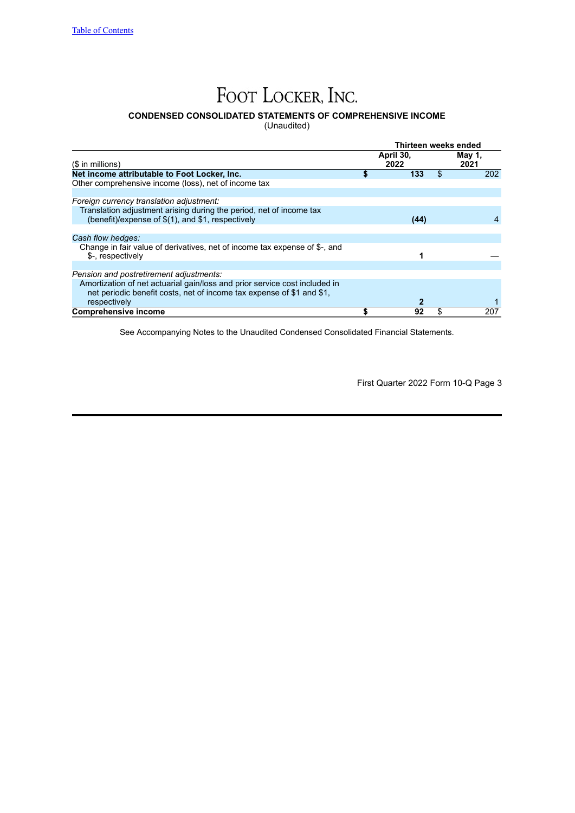## **CONDENSED CONSOLIDATED STATEMENTS OF COMPREHENSIVE INCOME**

(Unaudited)

<span id="page-5-0"></span>

|                                                                                                                                                                     |   | Thirteen weeks ended |                       |
|---------------------------------------------------------------------------------------------------------------------------------------------------------------------|---|----------------------|-----------------------|
| (\$ in millions)                                                                                                                                                    |   | April 30,<br>2022    | <b>May 1.</b><br>2021 |
| Net income attributable to Foot Locker, Inc.                                                                                                                        | S | 133                  | \$<br>202             |
| Other comprehensive income (loss), net of income tax                                                                                                                |   |                      |                       |
| Foreign currency translation adjustment:                                                                                                                            |   |                      |                       |
| Translation adjustment arising during the period, net of income tax<br>(benefit)/expense of \$(1), and \$1, respectively                                            |   | (44)                 |                       |
| Cash flow hedges:                                                                                                                                                   |   |                      |                       |
| Change in fair value of derivatives, net of income tax expense of \$-, and<br>\$-, respectively                                                                     |   |                      |                       |
| Pension and postretirement adjustments:                                                                                                                             |   |                      |                       |
| Amortization of net actuarial gain/loss and prior service cost included in<br>net periodic benefit costs, net of income tax expense of \$1 and \$1.<br>respectively |   |                      |                       |
| <b>Comprehensive income</b>                                                                                                                                         |   | 92                   | \$<br>207             |

See Accompanying Notes to the Unaudited Condensed Consolidated Financial Statements.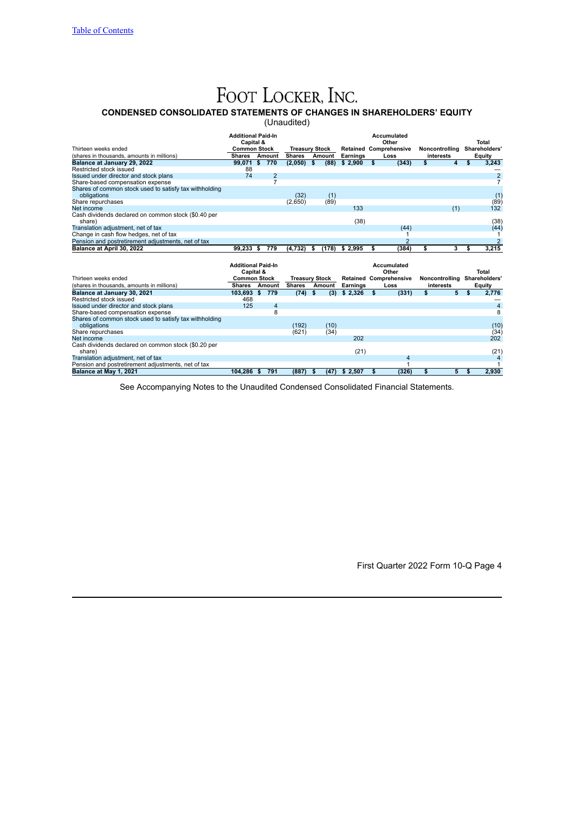## **CONDENSED CONSOLIDATED STATEMENTS OF CHANGES IN SHAREHOLDERS' EQUITY**

(Unaudited)

<span id="page-6-0"></span>

|                                                                       | <b>Additional Paid-In</b><br>Capital & |      |                |                       |    |        |                 | Accumulated<br>Other          |                | Total          |
|-----------------------------------------------------------------------|----------------------------------------|------|----------------|-----------------------|----|--------|-----------------|-------------------------------|----------------|----------------|
| Thirteen weeks ended                                                  | <b>Common Stock</b>                    |      |                | <b>Treasury Stock</b> |    |        |                 | <b>Retained Comprehensive</b> | Noncontrolling | Shareholders'  |
| (shares in thousands, amounts in millions)                            | <b>Shares</b>                          |      | Amount         | <b>Shares</b>         |    | Amount | <b>Earnings</b> | Loss                          | interests      | Equity         |
| Balance at January 29, 2022                                           | 99.071                                 | - \$ | 770            | (2,050)               | S. | (88)   | \$2,900         | (343)                         | 4              | \$<br>3.243    |
| Restricted stock issued                                               | 88                                     |      |                |                       |    |        |                 |                               |                |                |
| Issued under director and stock plans                                 | 74                                     |      | $\overline{2}$ |                       |    |        |                 |                               |                | $\overline{2}$ |
| Share-based compensation expense                                      |                                        |      |                |                       |    |        |                 |                               |                |                |
| Shares of common stock used to satisfy tax withholding<br>obligations |                                        |      |                | (32)                  |    | (1)    |                 |                               |                | (1)            |
| Share repurchases                                                     |                                        |      |                | (2,650)               |    | (89)   |                 |                               |                | (89)           |
| Net income                                                            |                                        |      |                |                       |    |        | 133             |                               | (1)            | 132            |
| Cash dividends declared on common stock (\$0.40 per<br>share)         |                                        |      |                |                       |    |        | (38)            |                               |                | (38)           |
| Translation adjustment, net of tax                                    |                                        |      |                |                       |    |        |                 | (44)                          |                | (44)           |
| Change in cash flow hedges, net of tax                                |                                        |      |                |                       |    |        |                 |                               |                |                |
| Pension and postretirement adjustments, net of tax                    |                                        |      |                |                       |    |        |                 | $\overline{2}$                |                |                |
| Balance at April 30, 2022                                             | 99.233                                 | - 55 | 779            | (4, 732)              |    | (178)  | \$2.995         | (384)                         | 3              | 3.215          |
|                                                                       | <b>Additional Paid-In</b>              |      |                |                       |    |        |                 | Accumulated                   |                |                |

|                                                        | Аччионан акти       |        |                       |   |        |          | Accumulatou                   |                |               |
|--------------------------------------------------------|---------------------|--------|-----------------------|---|--------|----------|-------------------------------|----------------|---------------|
|                                                        | Capital &           |        |                       |   |        |          | Other                         |                | Total         |
| Thirteen weeks ended                                   | <b>Common Stock</b> |        | <b>Treasury Stock</b> |   |        |          | <b>Retained Comprehensive</b> | Noncontrolling | Shareholders' |
| (shares in thousands, amounts in millions)             | <b>Shares</b>       | Amount | <b>Shares</b>         |   | Amount | Earnings | Loss                          | interests      | Equity        |
| Balance at January 30, 2021                            | 103.693 S           | 779    | (74)                  | S | (3)    | \$2,326  | (331)                         | 5.             | 2.776         |
| Restricted stock issued                                | 468                 |        |                       |   |        |          |                               |                |               |
| Issued under director and stock plans                  | 125                 | 4      |                       |   |        |          |                               |                | 4             |
| Share-based compensation expense                       |                     | 8      |                       |   |        |          |                               |                | 8             |
| Shares of common stock used to satisfy tax withholding |                     |        |                       |   |        |          |                               |                |               |
| obligations                                            |                     |        | (192)                 |   | (10)   |          |                               |                | (10)          |
| Share repurchases                                      |                     |        | (621)                 |   | (34)   |          |                               |                | (34)          |
| Net income                                             |                     |        |                       |   |        | 202      |                               |                | 202           |
| Cash dividends declared on common stock (\$0.20 per    |                     |        |                       |   |        |          |                               |                |               |
| share)                                                 |                     |        |                       |   |        | (21)     |                               |                | (21)          |
| Translation adjustment, net of tax                     |                     |        |                       |   |        |          | 4                             |                |               |
| Pension and postretirement adjustments, net of tax     |                     |        |                       |   |        |          |                               |                |               |
| Balance at May 1, 2021                                 | 104.286             | 791    | (887)                 |   | (47)   | \$2,507  | (326)                         |                | 2.930         |

See Accompanying Notes to the Unaudited Condensed Consolidated Financial Statements.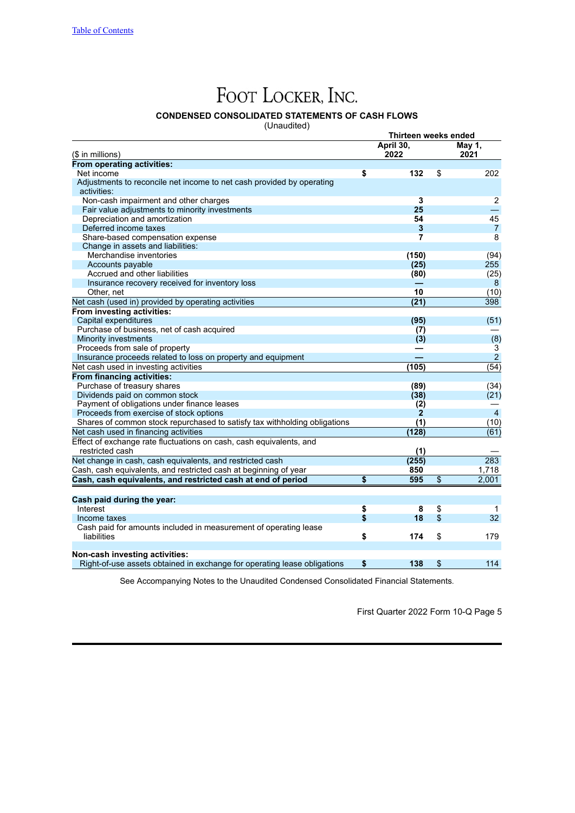## **CONDENSED CONSOLIDATED STATEMENTS OF CASH FLOWS**

(Unaudited)

<span id="page-7-0"></span>

|                                                                               | Thirteen weeks ended |                          |                                    |  |
|-------------------------------------------------------------------------------|----------------------|--------------------------|------------------------------------|--|
| (\$ in millions)                                                              | April 30,<br>2022    |                          | $\overline{\text{May}}$ 1,<br>2021 |  |
| From operating activities:                                                    |                      |                          |                                    |  |
| Net income                                                                    | \$<br>132            | $\overline{\mathbb{S}}$  | 202                                |  |
| Adjustments to reconcile net income to net cash provided by operating         |                      |                          |                                    |  |
| activities:                                                                   |                      |                          |                                    |  |
| Non-cash impairment and other charges                                         | 3                    |                          | 2                                  |  |
| Fair value adjustments to minority investments                                | 25                   |                          |                                    |  |
| Depreciation and amortization                                                 | 54                   |                          | 45                                 |  |
| Deferred income taxes                                                         | 3                    |                          | $\overline{7}$                     |  |
| Share-based compensation expense                                              | 7                    |                          | 8                                  |  |
| Change in assets and liabilities:                                             |                      |                          |                                    |  |
| Merchandise inventories                                                       | (150)                |                          | (94)                               |  |
| Accounts payable                                                              | (25)                 |                          | 255                                |  |
| Accrued and other liabilities                                                 | (80)                 |                          | (25)                               |  |
| Insurance recovery received for inventory loss                                |                      |                          | 8                                  |  |
| Other, net                                                                    | 10                   |                          | (10)                               |  |
| Net cash (used in) provided by operating activities                           | (21)                 |                          | 398                                |  |
| From investing activities:                                                    |                      |                          |                                    |  |
| Capital expenditures                                                          | (95)                 |                          | (51)                               |  |
| Purchase of business, net of cash acquired                                    |                      |                          |                                    |  |
| Minority investments                                                          | (7)<br>(3)           |                          | (8)                                |  |
| Proceeds from sale of property                                                |                      |                          | $\overline{3}$                     |  |
| Insurance proceeds related to loss on property and equipment                  |                      |                          | $\sqrt{2}$                         |  |
|                                                                               | (105)                |                          | (54)                               |  |
| Net cash used in investing activities                                         |                      |                          |                                    |  |
| From financing activities:                                                    |                      |                          |                                    |  |
| Purchase of treasury shares                                                   | (89)                 |                          | (34)                               |  |
| Dividends paid on common stock<br>Payment of obligations under finance leases | (38)                 |                          | (21)                               |  |
|                                                                               | (2)<br>$\mathbf{2}$  |                          | $\overline{4}$                     |  |
| Proceeds from exercise of stock options                                       |                      |                          |                                    |  |
| Shares of common stock repurchased to satisfy tax withholding obligations     | (1)                  |                          | (10)                               |  |
| Net cash used in financing activities                                         | (128)                |                          | (61)                               |  |
| Effect of exchange rate fluctuations on cash, cash equivalents, and           |                      |                          |                                    |  |
| restricted cash                                                               | (1)                  |                          |                                    |  |
| Net change in cash, cash equivalents, and restricted cash                     | (255)                |                          | 283                                |  |
| Cash, cash equivalents, and restricted cash at beginning of year              | 850                  |                          | 1,718                              |  |
| Cash, cash equivalents, and restricted cash at end of period                  | \$<br>595            | $\overline{\mathcal{S}}$ | 2,001                              |  |
|                                                                               |                      |                          |                                    |  |
| Cash paid during the year:                                                    |                      |                          |                                    |  |
| Interest                                                                      | \$<br>8              | \$                       | $\mathbf{1}$                       |  |
| Income taxes                                                                  | \$<br>18             | \$                       | 32                                 |  |
| Cash paid for amounts included in measurement of operating lease              |                      |                          |                                    |  |
| liabilities                                                                   | \$<br>174            | \$                       | 179                                |  |
|                                                                               |                      |                          |                                    |  |
| Non-cash investing activities:                                                |                      |                          |                                    |  |
| Right-of-use assets obtained in exchange for operating lease obligations      | \$<br>138            | \$                       | 114                                |  |

See Accompanying Notes to the Unaudited Condensed Consolidated Financial Statements.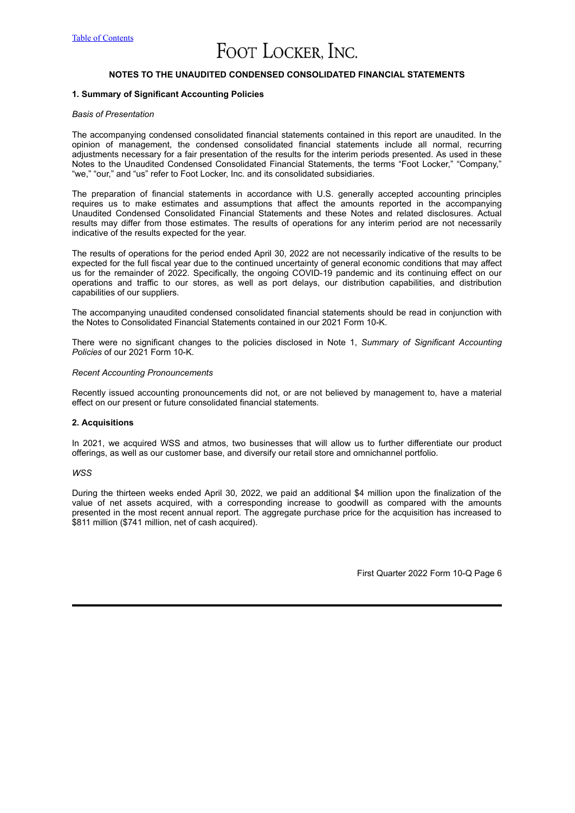### **NOTES TO THE UNAUDITED CONDENSED CONSOLIDATED FINANCIAL STATEMENTS**

### <span id="page-8-0"></span>**1. Summary of Significant Accounting Policies**

#### *Basis of Presentation*

The accompanying condensed consolidated financial statements contained in this report are unaudited. In the opinion of management, the condensed consolidated financial statements include all normal, recurring adjustments necessary for a fair presentation of the results for the interim periods presented. As used in these Notes to the Unaudited Condensed Consolidated Financial Statements, the terms "Foot Locker," "Company," "we," "our," and "us" refer to Foot Locker, Inc. and its consolidated subsidiaries.

The preparation of financial statements in accordance with U.S. generally accepted accounting principles requires us to make estimates and assumptions that affect the amounts reported in the accompanying Unaudited Condensed Consolidated Financial Statements and these Notes and related disclosures. Actual results may differ from those estimates. The results of operations for any interim period are not necessarily indicative of the results expected for the year.

The results of operations for the period ended April 30, 2022 are not necessarily indicative of the results to be expected for the full fiscal year due to the continued uncertainty of general economic conditions that may affect us for the remainder of 2022. Specifically, the ongoing COVID-19 pandemic and its continuing effect on our operations and traffic to our stores, as well as port delays, our distribution capabilities, and distribution capabilities of our suppliers.

The accompanying unaudited condensed consolidated financial statements should be read in conjunction with the Notes to Consolidated Financial Statements contained in our 2021 Form 10-K.

There were no significant changes to the policies disclosed in Note 1, *Summary of Significant Accounting Policies* of our 2021 Form 10-K.

#### *Recent Accounting Pronouncements*

Recently issued accounting pronouncements did not, or are not believed by management to, have a material effect on our present or future consolidated financial statements.

#### **2. Acquisitions**

In 2021, we acquired WSS and atmos, two businesses that will allow us to further differentiate our product offerings, as well as our customer base, and diversify our retail store and omnichannel portfolio.

#### *WSS*

During the thirteen weeks ended April 30, 2022, we paid an additional \$4 million upon the finalization of the value of net assets acquired, with a corresponding increase to goodwill as compared with the amounts presented in the most recent annual report. The aggregate purchase price for the acquisition has increased to \$811 million (\$741 million, net of cash acquired).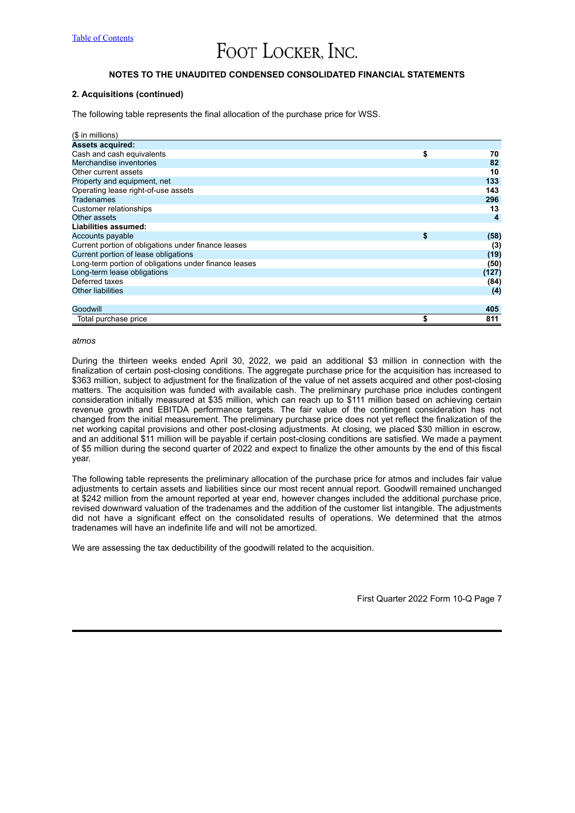## **NOTES TO THE UNAUDITED CONDENSED CONSOLIDATED FINANCIAL STATEMENTS**

#### **2. Acquisitions (continued)**

The following table represents the final allocation of the purchase price for WSS.

| (\$ in millions)                                      |            |
|-------------------------------------------------------|------------|
| <b>Assets acquired:</b>                               |            |
| Cash and cash equivalents                             | \$<br>70   |
| Merchandise inventories                               | 82         |
| Other current assets                                  | 10         |
| Property and equipment, net                           | 133        |
| Operating lease right-of-use assets                   | 143        |
| <b>Tradenames</b>                                     | 296        |
| Customer relationships                                | 13         |
| Other assets                                          | 4          |
| Liabilities assumed:                                  |            |
| Accounts payable                                      | \$<br>(58) |
| Current portion of obligations under finance leases   | (3)        |
| Current portion of lease obligations                  | (19)       |
| Long-term portion of obligations under finance leases | (50)       |
| Long-term lease obligations                           | (127)      |
| Deferred taxes                                        | (84)       |
| <b>Other liabilities</b>                              | (4)        |
|                                                       |            |
| Goodwill                                              | 405        |
| Total purchase price                                  | 811        |

#### *atmos*

During the thirteen weeks ended April 30, 2022, we paid an additional \$3 million in connection with the finalization of certain post-closing conditions. The aggregate purchase price for the acquisition has increased to \$363 million, subject to adjustment for the finalization of the value of net assets acquired and other post-closing matters. The acquisition was funded with available cash. The preliminary purchase price includes contingent consideration initially measured at \$35 million, which can reach up to \$111 million based on achieving certain revenue growth and EBITDA performance targets. The fair value of the contingent consideration has not changed from the initial measurement. The preliminary purchase price does not yet reflect the finalization of the net working capital provisions and other post-closing adjustments. At closing, we placed \$30 million in escrow, and an additional \$11 million will be payable if certain post-closing conditions are satisfied. We made a payment of \$5 million during the second quarter of 2022 and expect to finalize the other amounts by the end of this fiscal year.

The following table represents the preliminary allocation of the purchase price for atmos and includes fair value adjustments to certain assets and liabilities since our most recent annual report. Goodwill remained unchanged at \$242 million from the amount reported at year end, however changes included the additional purchase price, revised downward valuation of the tradenames and the addition of the customer list intangible. The adjustments did not have a significant effect on the consolidated results of operations. We determined that the atmos tradenames will have an indefinite life and will not be amortized.

We are assessing the tax deductibility of the goodwill related to the acquisition.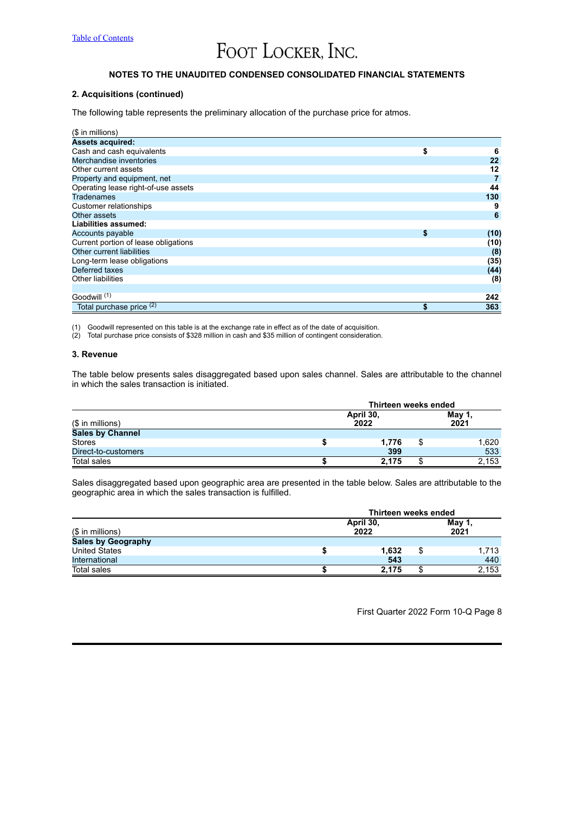## **NOTES TO THE UNAUDITED CONDENSED CONSOLIDATED FINANCIAL STATEMENTS**

### **2. Acquisitions (continued)**

The following table represents the preliminary allocation of the purchase price for atmos.

| (\$ in millions)                     |            |
|--------------------------------------|------------|
| <b>Assets acquired:</b>              |            |
| Cash and cash equivalents            | \$<br>6    |
| Merchandise inventories              | 22         |
| Other current assets                 | 12         |
| Property and equipment, net          |            |
| Operating lease right-of-use assets  | 44         |
| <b>Tradenames</b>                    | 130        |
| Customer relationships               | 9          |
| Other assets                         | 6          |
| <b>Liabilities assumed:</b>          |            |
| Accounts payable                     | \$<br>(10) |
| Current portion of lease obligations | (10)       |
| Other current liabilities            | (8)        |
| Long-term lease obligations          | (35)       |
| Deferred taxes                       | (44)       |
| <b>Other liabilities</b>             | (8)        |
|                                      |            |
| Goodwill <sup>(1)</sup>              | 242        |
| Total purchase price (2)             | 363        |

(1) Goodwill represented on this table is at the exchange rate in effect as of the date of acquisition.

(2) Total purchase price consists of \$328 million in cash and \$35 million of contingent consideration.

### **3. Revenue**

The table below presents sales disaggregated based upon sales channel. Sales are attributable to the channel in which the sales transaction is initiated.

|                         | Thirteen weeks ended |                       |       |  |  |  |  |
|-------------------------|----------------------|-----------------------|-------|--|--|--|--|
| $$$ in millions)        | April 30,<br>2022    | <b>May 1.</b><br>2021 |       |  |  |  |  |
| <b>Sales by Channel</b> |                      |                       |       |  |  |  |  |
| <b>Stores</b>           | 1.776                |                       | 1.620 |  |  |  |  |
| Direct-to-customers     | 399                  |                       | 533   |  |  |  |  |
| Total sales             | 2.175                |                       | 2,153 |  |  |  |  |

Sales disaggregated based upon geographic area are presented in the table below. Sales are attributable to the geographic area in which the sales transaction is fulfilled.

|                           |                   |   | Thirteen weeks ended |  |  |  |
|---------------------------|-------------------|---|----------------------|--|--|--|
| $$$ in millions)          | April 30,<br>2022 |   | May 1,<br>2021       |  |  |  |
| <b>Sales by Geography</b> |                   |   |                      |  |  |  |
| <b>United States</b>      | 1.632             | S | 1.713                |  |  |  |
| International             | 543               |   | 440                  |  |  |  |
| Total sales               | 2.175             |   | 2,153                |  |  |  |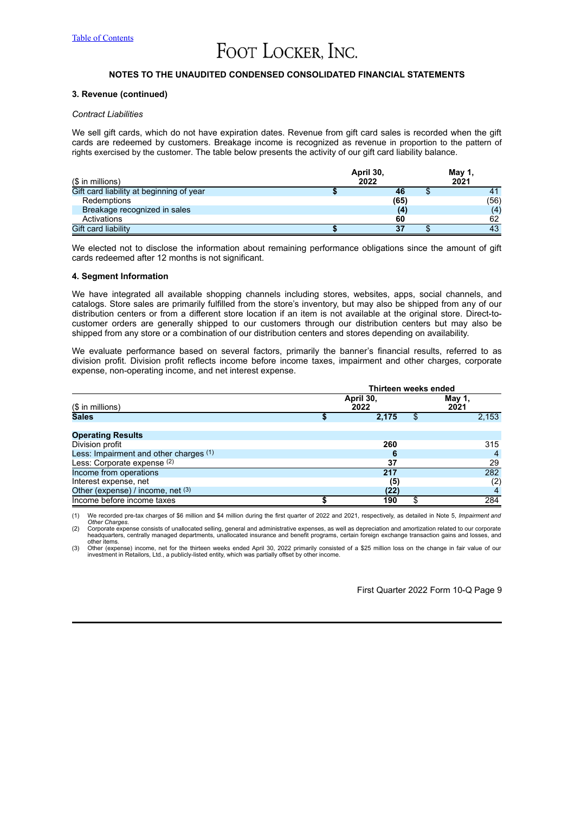### **NOTES TO THE UNAUDITED CONDENSED CONSOLIDATED FINANCIAL STATEMENTS**

#### **3. Revenue (continued)**

#### *Contract Liabilities*

We sell gift cards, which do not have expiration dates. Revenue from gift card sales is recorded when the gift cards are redeemed by customers. Breakage income is recognized as revenue in proportion to the pattern of rights exercised by the customer. The table below presents the activity of our gift card liability balance.

| (\$ in millions)                         | April 30,<br>2022 |      | May 1,<br>2021 |
|------------------------------------------|-------------------|------|----------------|
| Gift card liability at beginning of year |                   | 46   |                |
| Redemptions                              |                   | (65) | (56)           |
| Breakage recognized in sales             |                   | (4)  | (4)            |
| Activations                              |                   | 60   | 62             |
| Gift card liability                      |                   | 37   | 43             |

We elected not to disclose the information about remaining performance obligations since the amount of gift cards redeemed after 12 months is not significant.

#### **4. Segment Information**

We have integrated all available shopping channels including stores, websites, apps, social channels, and catalogs. Store sales are primarily fulfilled from the store's inventory, but may also be shipped from any of our distribution centers or from a different store location if an item is not available at the original store. Direct-tocustomer orders are generally shipped to our customers through our distribution centers but may also be shipped from any store or a combination of our distribution centers and stores depending on availability.

We evaluate performance based on several factors, primarily the banner's financial results, referred to as division profit. Division profit reflects income before income taxes, impairment and other charges, corporate expense, non-operating income, and net interest expense.

|                                        | Thirteen weeks ended |       |  |  |  |  |  |
|----------------------------------------|----------------------|-------|--|--|--|--|--|
| $$$ in millions)                       | April 30,<br>2022    |       |  |  |  |  |  |
| <b>Sales</b>                           | 2,175                | 2,153 |  |  |  |  |  |
| <b>Operating Results</b>               |                      |       |  |  |  |  |  |
| Division profit                        | 260                  | 315   |  |  |  |  |  |
| Less: Impairment and other charges (1) | 6                    |       |  |  |  |  |  |
| Less: Corporate expense (2)            | 37                   | 29    |  |  |  |  |  |
| Income from operations                 | 217                  | 282   |  |  |  |  |  |
| Interest expense, net                  | (5)                  | (2)   |  |  |  |  |  |
| Other (expense) / income, net (3)      | (22)                 |       |  |  |  |  |  |
| Income before income taxes             | 190                  | 284   |  |  |  |  |  |

(1) We recorded pre-tax charges of \$6 million and \$4 million during the first quarter of 2022 and 2021, respectively, as detailed in Note 5, *Impairment and Other Charges*.

(2) Corporate expense consists of unallocated selling, general and administrative expenses, as well as depreciation and amortization related to our corporate<br>headquarters, centrally managed departments, unallocated insuran other items.

(3) Other (expense) income, net for the thirteen weeks ended April 30, 2022 primarily consisted of a \$25 million loss on the change in fair value of our investment in Retailors, Ltd., a publicly-listed entity, which was partially offset by other income.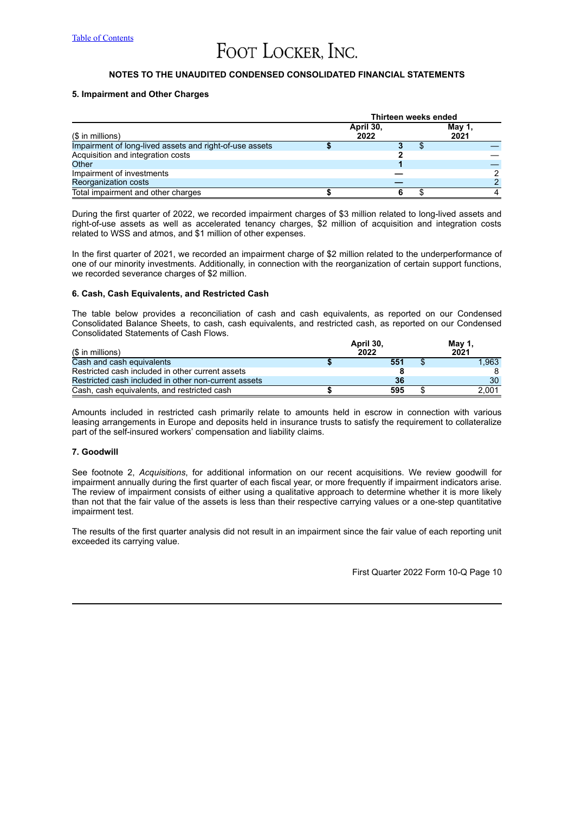### **NOTES TO THE UNAUDITED CONDENSED CONSOLIDATED FINANCIAL STATEMENTS**

#### **5. Impairment and Other Charges**

|                                                         | Thirteen weeks ended |  |  |                |  |  |  |  |  |
|---------------------------------------------------------|----------------------|--|--|----------------|--|--|--|--|--|
| (\$ in millions)                                        | April 30,<br>2022    |  |  | May 1,<br>2021 |  |  |  |  |  |
| Impairment of long-lived assets and right-of-use assets |                      |  |  |                |  |  |  |  |  |
| Acquisition and integration costs                       |                      |  |  |                |  |  |  |  |  |
| Other                                                   |                      |  |  |                |  |  |  |  |  |
| Impairment of investments                               |                      |  |  |                |  |  |  |  |  |
| Reorganization costs                                    |                      |  |  |                |  |  |  |  |  |
| Total impairment and other charges                      |                      |  |  |                |  |  |  |  |  |

During the first quarter of 2022, we recorded impairment charges of \$3 million related to long-lived assets and right-of-use assets as well as accelerated tenancy charges, \$2 million of acquisition and integration costs related to WSS and atmos, and \$1 million of other expenses.

In the first quarter of 2021, we recorded an impairment charge of \$2 million related to the underperformance of one of our minority investments. Additionally, in connection with the reorganization of certain support functions, we recorded severance charges of \$2 million.

#### **6. Cash, Cash Equivalents, and Restricted Cash**

The table below provides a reconciliation of cash and cash equivalents, as reported on our Condensed Consolidated Balance Sheets, to cash, cash equivalents, and restricted cash, as reported on our Condensed Consolidated Statements of Cash Flows.

| (\$ in millions)                                     | April 30,<br>2022 | May 1,<br>2021 |
|------------------------------------------------------|-------------------|----------------|
| Cash and cash equivalents                            | 551               | 1.963          |
| Restricted cash included in other current assets     |                   |                |
| Restricted cash included in other non-current assets | 36                | 30             |
| Cash, cash equivalents, and restricted cash          | 595               | 2.001          |

Amounts included in restricted cash primarily relate to amounts held in escrow in connection with various leasing arrangements in Europe and deposits held in insurance trusts to satisfy the requirement to collateralize part of the self-insured workers' compensation and liability claims.

#### **7. Goodwill**

See footnote 2, *Acquisitions*, for additional information on our recent acquisitions. We review goodwill for impairment annually during the first quarter of each fiscal year, or more frequently if impairment indicators arise. The review of impairment consists of either using a qualitative approach to determine whether it is more likely than not that the fair value of the assets is less than their respective carrying values or a one-step quantitative impairment test.

The results of the first quarter analysis did not result in an impairment since the fair value of each reporting unit exceeded its carrying value.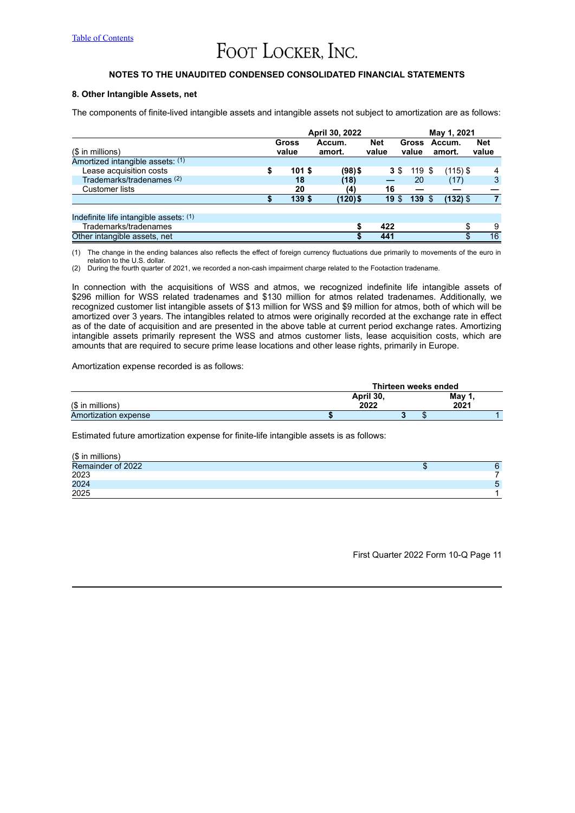### **NOTES TO THE UNAUDITED CONDENSED CONSOLIDATED FINANCIAL STATEMENTS**

#### **8. Other Intangible Assets, net**

The components of finite-lived intangible assets and intangible assets not subject to amortization are as follows:

|                                        | April 30, 2022 |                       |  |                  |                     | May 1, 2021 |  |                |    |                  |                     |
|----------------------------------------|----------------|-----------------------|--|------------------|---------------------|-------------|--|----------------|----|------------------|---------------------|
| (\$ in millions)                       |                | <b>Gross</b><br>value |  | Accum.<br>amort. | <b>Net</b><br>value |             |  | Gross<br>value |    | Accum.<br>amort. | <b>Net</b><br>value |
| Amortized intangible assets: (1)       |                |                       |  |                  |                     |             |  |                |    |                  |                     |
| Lease acquisition costs                | \$             | $101$ \$              |  | (98)\$           |                     | 3 S         |  | 119 \$         |    | $(115)$ \$       | 4                   |
| Trademarks/tradenames (2)              |                | 18                    |  | (18)             |                     |             |  | 20             |    | (17)             | 3                   |
| Customer lists                         |                | 20                    |  | (4)              |                     | 16          |  | _              |    |                  |                     |
|                                        |                | 139 <sup>5</sup>      |  | (120)\$          |                     | 19S         |  | 139            | -S | $(132)$ \$       |                     |
| Indefinite life intangible assets: (1) |                |                       |  |                  |                     |             |  |                |    |                  |                     |
| Trademarks/tradenames                  |                |                       |  |                  | 422                 |             |  |                |    | \$               | 9                   |
| Other intangible assets, net           |                |                       |  |                  | 441                 |             |  |                |    |                  | 16                  |

(1) The change in the ending balances also reflects the effect of foreign currency fluctuations due primarily to movements of the euro in relation to the U.S. dollar.

(2) During the fourth quarter of 2021, we recorded a non-cash impairment charge related to the Footaction tradename.

In connection with the acquisitions of WSS and atmos, we recognized indefinite life intangible assets of \$296 million for WSS related tradenames and \$130 million for atmos related tradenames. Additionally, we recognized customer list intangible assets of \$13 million for WSS and \$9 million for atmos, both of which will be amortized over 3 years. The intangibles related to atmos were originally recorded at the exchange rate in effect as of the date of acquisition and are presented in the above table at current period exchange rates. Amortizing intangible assets primarily represent the WSS and atmos customer lists, lease acquisition costs, which are amounts that are required to secure prime lease locations and other lease rights, primarily in Europe.

Amortization expense recorded is as follows:

|                      |           | Thirteen weeks ended |  |              |  |  |  |  |  |
|----------------------|-----------|----------------------|--|--------------|--|--|--|--|--|
|                      | April 30. |                      |  | May 1<br>. . |  |  |  |  |  |
| $$$ in millions)     | 2022      |                      |  | 2021         |  |  |  |  |  |
| Amortization expense |           |                      |  |              |  |  |  |  |  |

Estimated future amortization expense for finite-life intangible assets is as follows:

| (\$ in millions)  |   |
|-------------------|---|
| Remainder of 2022 |   |
| 2023              |   |
| 2024              | b |
| 2025              |   |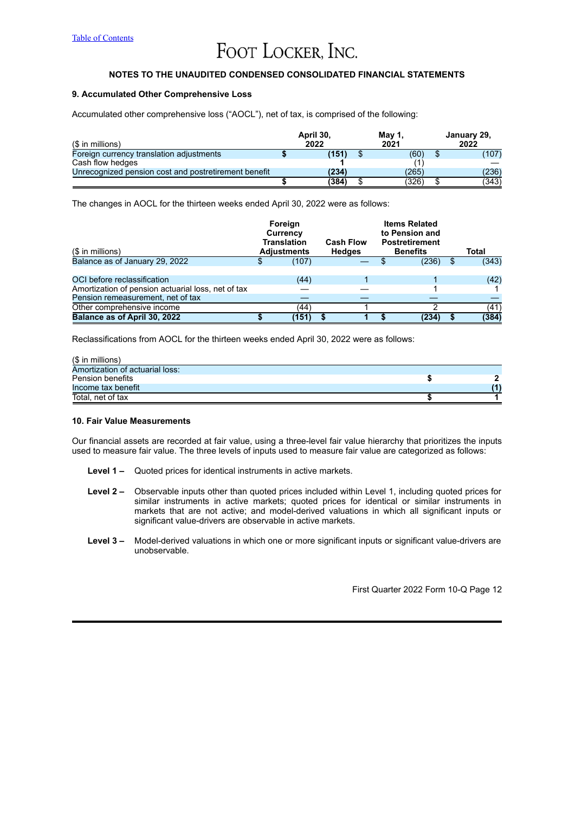### **NOTES TO THE UNAUDITED CONDENSED CONSOLIDATED FINANCIAL STATEMENTS**

#### **9. Accumulated Other Comprehensive Loss**

Accumulated other comprehensive loss ("AOCL"), net of tax, is comprised of the following:

| $$$ in millions)                                     | April 30,<br>2022 | <b>May 1.</b><br>2021 | January 29,<br>2022 |
|------------------------------------------------------|-------------------|-----------------------|---------------------|
| Foreign currency translation adjustments             | (151)             | (60)                  | (107)               |
| Cash flow hedges                                     |                   |                       |                     |
| Unrecognized pension cost and postretirement benefit | (234)             | (265)                 | (236)               |
|                                                      | (384)             | (326)                 | (343)               |

The changes in AOCL for the thirteen weeks ended April 30, 2022 were as follows:

| (\$ in millions)                                   | Foreign<br>Currency<br><b>Translation</b><br><b>Adiustments</b> | <b>Cash Flow</b><br><b>Hedges</b> | <b>Items Related</b><br>to Pension and<br><b>Postretirement</b><br><b>Benefits</b> |  |       |     | Total |
|----------------------------------------------------|-----------------------------------------------------------------|-----------------------------------|------------------------------------------------------------------------------------|--|-------|-----|-------|
| Balance as of January 29, 2022                     | (107)                                                           |                                   |                                                                                    |  | (236) | \$. | (343) |
| OCI before reclassification                        | (44)                                                            |                                   |                                                                                    |  |       |     | (42)  |
| Amortization of pension actuarial loss, net of tax |                                                                 |                                   |                                                                                    |  |       |     |       |
| Pension remeasurement, net of tax                  |                                                                 |                                   |                                                                                    |  |       |     |       |
| Other comprehensive income                         | (44)                                                            |                                   |                                                                                    |  |       |     | (41)  |
| Balance as of April 30, 2022                       | (151)                                                           |                                   |                                                                                    |  | (234) |     | (384) |

Reclassifications from AOCL for the thirteen weeks ended April 30, 2022 were as follows:

| $$$ in millions)                |     |
|---------------------------------|-----|
| Amortization of actuarial loss: |     |
| Pension benefits                |     |
| Income tax benefit              | (1) |
| Total, net of tax               |     |

#### **10. Fair Value Measurements**

Our financial assets are recorded at fair value, using a three-level fair value hierarchy that prioritizes the inputs used to measure fair value. The three levels of inputs used to measure fair value are categorized as follows:

- **Level 1 –** Quoted prices for identical instruments in active markets.
- **Level 2 –** Observable inputs other than quoted prices included within Level 1, including quoted prices for similar instruments in active markets; quoted prices for identical or similar instruments in markets that are not active; and model-derived valuations in which all significant inputs or significant value-drivers are observable in active markets.
- **Level 3 –** Model-derived valuations in which one or more significant inputs or significant value-drivers are unobservable.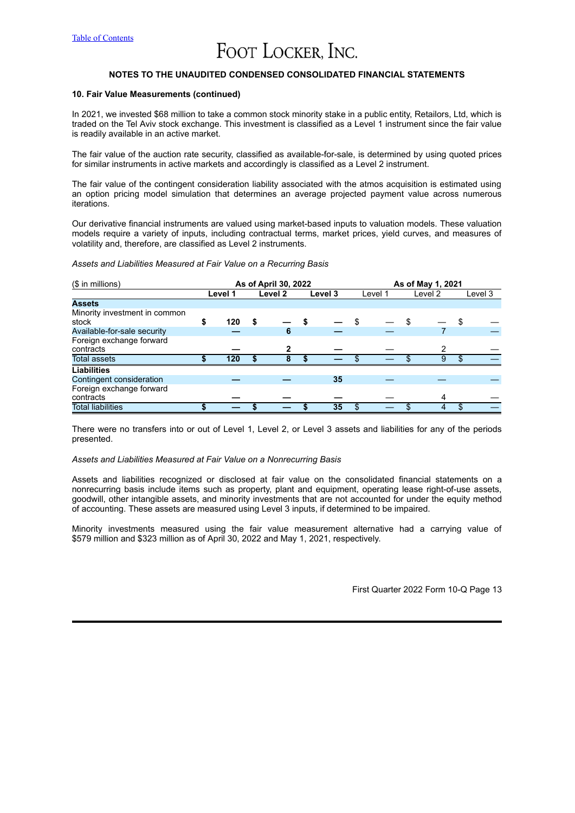### **NOTES TO THE UNAUDITED CONDENSED CONSOLIDATED FINANCIAL STATEMENTS**

#### **10. Fair Value Measurements (continued)**

In 2021, we invested \$68 million to take a common stock minority stake in a public entity. Retailors, Ltd, which is traded on the Tel Aviv stock exchange. This investment is classified as a Level 1 instrument since the fair value is readily available in an active market.

The fair value of the auction rate security, classified as available-for-sale, is determined by using quoted prices for similar instruments in active markets and accordingly is classified as a Level 2 instrument.

The fair value of the contingent consideration liability associated with the atmos acquisition is estimated using an option pricing model simulation that determines an average projected payment value across numerous iterations.

Our derivative financial instruments are valued using market-based inputs to valuation models. These valuation models require a variety of inputs, including contractual terms, market prices, yield curves, and measures of volatility and, therefore, are classified as Level 2 instruments.

#### *Assets and Liabilities Measured at Fair Value on a Recurring Basis*

| (\$ in millions)              |         | As of April 30, 2022 |         |   |         |   | As of May 1, 2021 |    |         |
|-------------------------------|---------|----------------------|---------|---|---------|---|-------------------|----|---------|
|                               | Level 1 | Level 2              | Level 3 |   | Level 1 |   | Level 2           |    | Level 3 |
| <b>Assets</b>                 |         |                      |         |   |         |   |                   |    |         |
| Minority investment in common |         |                      |         |   |         |   |                   |    |         |
| stock                         | 120     |                      |         |   |         |   |                   |    |         |
| Available-for-sale security   |         | 6                    |         |   |         |   | ⇁                 |    |         |
| Foreign exchange forward      |         |                      |         |   |         |   |                   |    |         |
| contracts                     |         |                      |         |   |         |   | າ                 |    |         |
| <b>Total assets</b>           | 120     | 8                    |         | œ |         | ዳ | 9                 | ፍ  |         |
| <b>Liabilities</b>            |         |                      |         |   |         |   |                   |    |         |
| Contingent consideration      |         |                      | 35      |   |         |   |                   |    |         |
| Foreign exchange forward      |         |                      |         |   |         |   |                   |    |         |
| contracts                     |         |                      |         |   |         |   | 4                 |    |         |
| <b>Total liabilities</b>      |         |                      | 35      |   |         |   | 4                 | \$ |         |

There were no transfers into or out of Level 1, Level 2, or Level 3 assets and liabilities for any of the periods presented.

#### *Assets and Liabilities Measured at Fair Value on a Nonrecurring Basis*

Assets and liabilities recognized or disclosed at fair value on the consolidated financial statements on a nonrecurring basis include items such as property, plant and equipment, operating lease right-of-use assets, goodwill, other intangible assets, and minority investments that are not accounted for under the equity method of accounting. These assets are measured using Level 3 inputs, if determined to be impaired.

Minority investments measured using the fair value measurement alternative had a carrying value of \$579 million and \$323 million as of April 30, 2022 and May 1, 2021, respectively.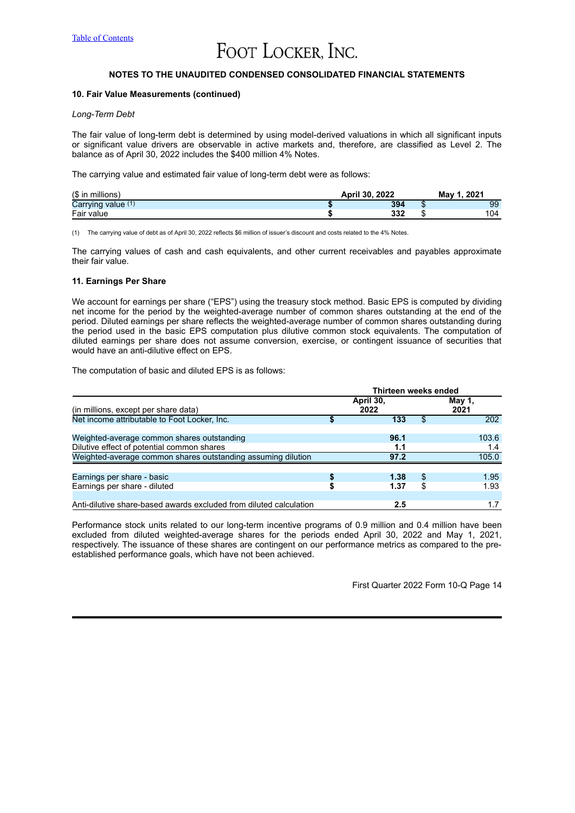### **NOTES TO THE UNAUDITED CONDENSED CONSOLIDATED FINANCIAL STATEMENTS**

#### **10. Fair Value Measurements (continued)**

#### *Long-Term Debt*

The fair value of long-term debt is determined by using model-derived valuations in which all significant inputs or significant value drivers are observable in active markets and, therefore, are classified as Level 2. The balance as of April 30, 2022 includes the \$400 million 4% Notes.

The carrying value and estimated fair value of long-term debt were as follows:

| (\$ in millions)   | April 30, 2022 | 2021<br>May 1 |     |
|--------------------|----------------|---------------|-----|
| Carrying value (1) |                | 394           | 99  |
| Fair value         |                | 332           | 104 |

(1) The carrying value of debt as of April 30, 2022 reflects \$6 million of issuer's discount and costs related to the 4% Notes.

The carrying values of cash and cash equivalents, and other current receivables and payables approximate their fair value.

#### **11. Earnings Per Share**

We account for earnings per share ("EPS") using the treasury stock method. Basic EPS is computed by dividing net income for the period by the weighted-average number of common shares outstanding at the end of the period. Diluted earnings per share reflects the weighted-average number of common shares outstanding during the period used in the basic EPS computation plus dilutive common stock equivalents. The computation of diluted earnings per share does not assume conversion, exercise, or contingent issuance of securities that would have an anti-dilutive effect on EPS.

The computation of basic and diluted EPS is as follows:

|                                                                    | Thirteen weeks ended |                   |    |                |  |
|--------------------------------------------------------------------|----------------------|-------------------|----|----------------|--|
| (in millions, except per share data)                               |                      | April 30,<br>2022 |    | May 1,<br>2021 |  |
| Net income attributable to Foot Locker, Inc.                       |                      | 133               | \$ | 202            |  |
| Weighted-average common shares outstanding                         |                      | 96.1              |    | 103.6          |  |
| Dilutive effect of potential common shares                         |                      | 1.1               |    | 1.4            |  |
| Weighted-average common shares outstanding assuming dilution       |                      | 97.2              |    | 105.0          |  |
| Earnings per share - basic                                         |                      | 1.38              | \$ | 1.95           |  |
| Earnings per share - diluted                                       |                      | 1.37              | S  | 1.93           |  |
| Anti-dilutive share-based awards excluded from diluted calculation |                      | 2.5               |    | 1.7            |  |

Performance stock units related to our long-term incentive programs of 0.9 million and 0.4 million have been excluded from diluted weighted-average shares for the periods ended April 30, 2022 and May 1, 2021, respectively. The issuance of these shares are contingent on our performance metrics as compared to the preestablished performance goals, which have not been achieved.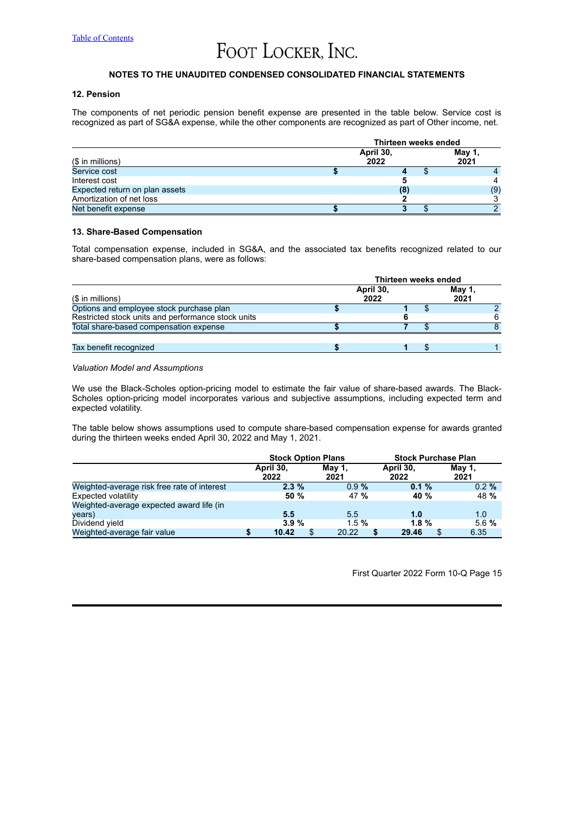### **NOTES TO THE UNAUDITED CONDENSED CONSOLIDATED FINANCIAL STATEMENTS**

#### **12. Pension**

The components of net periodic pension benefit expense are presented in the table below. Service cost is recognized as part of SG&A expense, while the other components are recognized as part of Other income, net.

|                                | Thirteen weeks ended |  |     |  |  |
|--------------------------------|----------------------|--|-----|--|--|
| $$$ in millions)               | April 30,<br>2022    |  |     |  |  |
| Service cost                   |                      |  |     |  |  |
| Interest cost                  |                      |  |     |  |  |
| Expected return on plan assets | (8)                  |  | (9) |  |  |
| Amortization of net loss       |                      |  |     |  |  |
| Net benefit expense            |                      |  |     |  |  |

#### **13. Share-Based Compensation**

Total compensation expense, included in SG&A, and the associated tax benefits recognized related to our share-based compensation plans, were as follows:

| $$$ in millions)                                   |                   | Thirteen weeks ended |                |  |
|----------------------------------------------------|-------------------|----------------------|----------------|--|
|                                                    | April 30,<br>2022 |                      | May 1,<br>2021 |  |
| Options and employee stock purchase plan           |                   |                      |                |  |
| Restricted stock units and performance stock units |                   |                      |                |  |
| Total share-based compensation expense             |                   |                      |                |  |
|                                                    |                   |                      |                |  |
| Tax benefit recognized                             |                   |                      |                |  |

#### *Valuation Model and Assumptions*

We use the Black-Scholes option-pricing model to estimate the fair value of share-based awards. The Black-Scholes option-pricing model incorporates various and subjective assumptions, including expected term and expected volatility.

The table below shows assumptions used to compute share-based compensation expense for awards granted during the thirteen weeks ended April 30, 2022 and May 1, 2021.

|                                             | <b>Stock Option Plans</b> |                   |    | <b>Stock Purchase Plan</b> |                   |                |          |
|---------------------------------------------|---------------------------|-------------------|----|----------------------------|-------------------|----------------|----------|
|                                             |                           | April 30,<br>2022 |    | May 1,<br>2021             | April 30,<br>2022 | May 1,<br>2021 |          |
| Weighted-average risk free rate of interest |                           | $2.3\%$           |    | 0.9%                       | 0.1%              |                | $0.2 \%$ |
| Expected volatility                         |                           | 50 %              |    | 47%                        | 40 %              |                | 48 %     |
| Weighted-average expected award life (in    |                           |                   |    |                            |                   |                |          |
| years)                                      |                           | 5.5               |    | 5.5                        | 1.0               | 1.0            |          |
| Dividend yield                              |                           | 3.9%              |    | $1.5 \%$                   | $1.8 \%$          |                | 5.6%     |
| Weighted-average fair value                 |                           | 10.42             | \$ | 20.22                      | 29.46             | 6.35<br>\$     |          |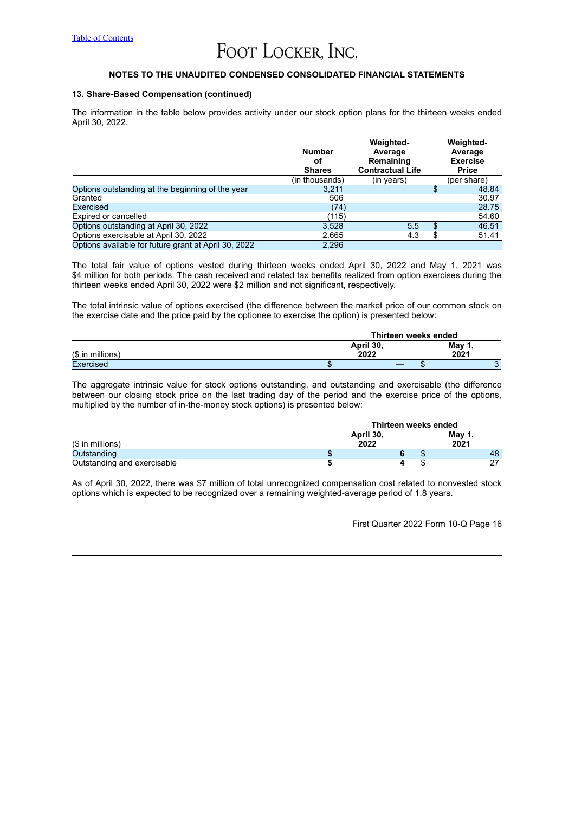### **NOTES TO THE UNAUDITED CONDENSED CONSOLIDATED FINANCIAL STATEMENTS**

#### **13. Share-Based Compensation (continued)**

The information in the table below provides activity under our stock option plans for the thirteen weeks ended April 30, 2022.

|                                                      | <b>Number</b><br>οf<br><b>Shares</b> | Weighted-<br>Average<br>Remaining<br><b>Contractual Life</b> | Weighted-<br>Average<br><b>Exercise</b><br><b>Price</b> |
|------------------------------------------------------|--------------------------------------|--------------------------------------------------------------|---------------------------------------------------------|
|                                                      | (in thousands)                       | (in years)                                                   | (per share)                                             |
| Options outstanding at the beginning of the year     | 3.211                                |                                                              | 48.84                                                   |
| Granted                                              | 506                                  |                                                              | 30.97                                                   |
| Exercised                                            | (74)                                 |                                                              | 28.75                                                   |
| Expired or cancelled                                 | (115)                                |                                                              | 54.60                                                   |
| Options outstanding at April 30, 2022                | 3,528                                | 5.5                                                          | \$<br>46.51                                             |
| Options exercisable at April 30, 2022                | 2,665                                | 4.3                                                          | 51.41                                                   |
| Options available for future grant at April 30, 2022 | 2,296                                |                                                              |                                                         |

The total fair value of options vested during thirteen weeks ended April 30, 2022 and May 1, 2021 was \$4 million for both periods. The cash received and related tax benefits realized from option exercises during the thirteen weeks ended April 30, 2022 were \$2 million and not significant, respectively.

The total intrinsic value of options exercised (the difference between the market price of our common stock on the exercise date and the price paid by the optionee to exercise the option) is presented below:

|                  |           | Thirteen weeks ended |  |       |  |  |
|------------------|-----------|----------------------|--|-------|--|--|
|                  | April 30, |                      |  | May 1 |  |  |
| (\$ in millions) | 2022      |                      |  | 2021  |  |  |
| Exercised        |           |                      |  |       |  |  |

The aggregate intrinsic value for stock options outstanding, and outstanding and exercisable (the difference between our closing stock price on the last trading day of the period and the exercise price of the options, multiplied by the number of in-the-money stock options) is presented below:

|                             |      | Thirteen weeks ended |  |    |  |  |  |
|-----------------------------|------|----------------------|--|----|--|--|--|
| (\$ in millions)            | 2022 | April 30,            |  |    |  |  |  |
| Outstanding                 |      |                      |  | 48 |  |  |  |
| Outstanding and exercisable |      |                      |  |    |  |  |  |

As of April 30, 2022, there was \$7 million of total unrecognized compensation cost related to nonvested stock options which is expected to be recognized over a remaining weighted-average period of 1.8 years.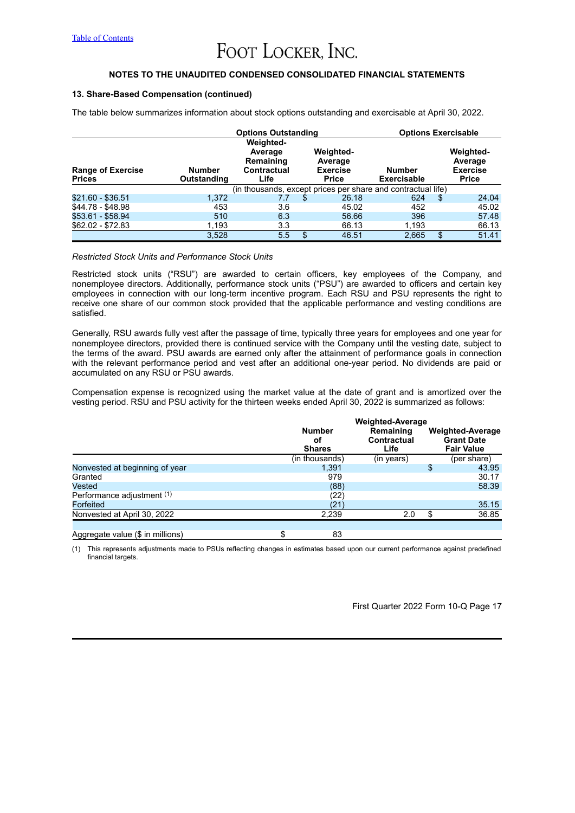### **NOTES TO THE UNAUDITED CONDENSED CONSOLIDATED FINANCIAL STATEMENTS**

#### **13. Share-Based Compensation (continued)**

The table below summarizes information about stock options outstanding and exercisable at April 30, 2022.

|                                           |                              | <b>Options Outstanding</b>                                      |                                                                |       | <b>Options Exercisable</b>                                   |                                                                |
|-------------------------------------------|------------------------------|-----------------------------------------------------------------|----------------------------------------------------------------|-------|--------------------------------------------------------------|----------------------------------------------------------------|
| <b>Range of Exercise</b><br><b>Prices</b> | <b>Number</b><br>Outstanding | Weighted-<br>Average<br>Remaining<br><b>Contractual</b><br>Life | <b>Weighted-</b><br>Average<br><b>Exercise</b><br><b>Price</b> |       | <b>Number</b><br><b>Exercisable</b>                          | <b>Weighted-</b><br>Average<br><b>Exercise</b><br><b>Price</b> |
|                                           |                              |                                                                 |                                                                |       | (in thousands, except prices per share and contractual life) |                                                                |
| $$21.60 - $36.51$                         | 1.372                        | 7.7                                                             | \$                                                             | 26.18 | 624                                                          | \$<br>24.04                                                    |
| \$44.78 - \$48.98                         | 453                          | 3.6                                                             |                                                                | 45.02 | 452                                                          | 45.02                                                          |
| \$53.61 - \$58.94                         | 510                          | 6.3                                                             |                                                                | 56.66 | 396                                                          | 57.48                                                          |
| $$62.02 - $72.83$                         | 1.193                        | 3.3                                                             |                                                                | 66.13 | 1.193                                                        | 66.13                                                          |
|                                           | 3.528                        | 5.5                                                             | \$                                                             | 46.51 | 2,665                                                        | \$<br>51.41                                                    |

#### *Restricted Stock Units and Performance Stock Units*

Restricted stock units ("RSU") are awarded to certain officers, key employees of the Company, and nonemployee directors. Additionally, performance stock units ("PSU") are awarded to officers and certain key employees in connection with our long-term incentive program. Each RSU and PSU represents the right to receive one share of our common stock provided that the applicable performance and vesting conditions are satisfied.

Generally, RSU awards fully vest after the passage of time, typically three years for employees and one year for nonemployee directors, provided there is continued service with the Company until the vesting date, subject to the terms of the award. PSU awards are earned only after the attainment of performance goals in connection with the relevant performance period and vest after an additional one-year period. No dividends are paid or accumulated on any RSU or PSU awards.

Compensation expense is recognized using the market value at the date of grant and is amortized over the vesting period. RSU and PSU activity for the thirteen weeks ended April 30, 2022 is summarized as follows:

|                                  | <b>Weighted-Average</b> |                                      |                                         |    |                                                                   |  |  |
|----------------------------------|-------------------------|--------------------------------------|-----------------------------------------|----|-------------------------------------------------------------------|--|--|
|                                  |                         | <b>Number</b><br>οf<br><b>Shares</b> | Remaining<br><b>Contractual</b><br>Life |    | <b>Weighted-Average</b><br><b>Grant Date</b><br><b>Fair Value</b> |  |  |
|                                  |                         | (in thousands)                       | (in years)                              |    | (per share)                                                       |  |  |
| Nonvested at beginning of year   |                         | 1,391                                |                                         | \$ | 43.95                                                             |  |  |
| Granted                          |                         | 979                                  |                                         |    | 30.17                                                             |  |  |
| Vested                           |                         | (88)                                 |                                         |    | 58.39                                                             |  |  |
| Performance adjustment (1)       |                         | (22)                                 |                                         |    |                                                                   |  |  |
| Forfeited                        |                         | (21)                                 |                                         |    | 35.15                                                             |  |  |
| Nonvested at April 30, 2022      |                         | 2,239                                | 2.0                                     | £. | 36.85                                                             |  |  |
| Aggregate value (\$ in millions) | \$                      | 83                                   |                                         |    |                                                                   |  |  |

(1) This represents adjustments made to PSUs reflecting changes in estimates based upon our current performance against predefined financial targets.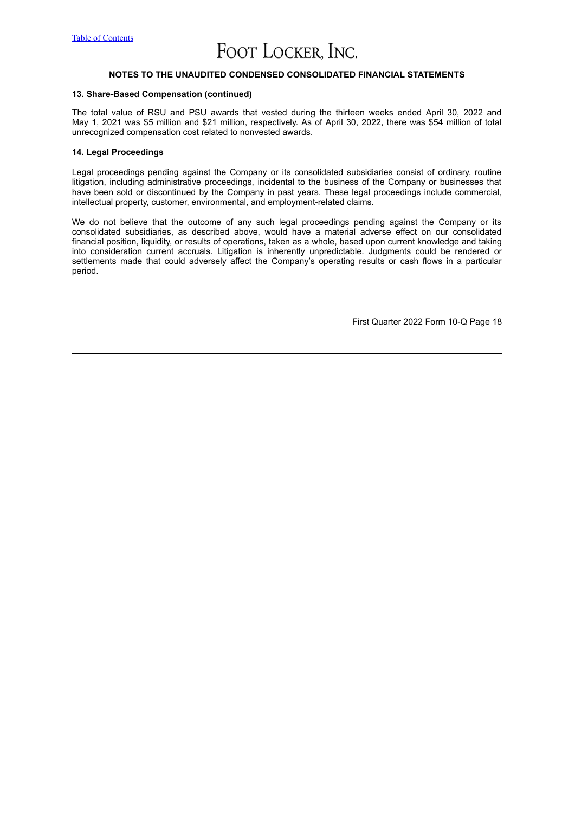### **NOTES TO THE UNAUDITED CONDENSED CONSOLIDATED FINANCIAL STATEMENTS**

#### **13. Share-Based Compensation (continued)**

The total value of RSU and PSU awards that vested during the thirteen weeks ended April 30, 2022 and May 1, 2021 was \$5 million and \$21 million, respectively. As of April 30, 2022, there was \$54 million of total unrecognized compensation cost related to nonvested awards.

#### **14. Legal Proceedings**

Legal proceedings pending against the Company or its consolidated subsidiaries consist of ordinary, routine litigation, including administrative proceedings, incidental to the business of the Company or businesses that have been sold or discontinued by the Company in past years. These legal proceedings include commercial, intellectual property, customer, environmental, and employment-related claims.

We do not believe that the outcome of any such legal proceedings pending against the Company or its consolidated subsidiaries, as described above, would have a material adverse effect on our consolidated financial position, liquidity, or results of operations, taken as a whole, based upon current knowledge and taking into consideration current accruals. Litigation is inherently unpredictable. Judgments could be rendered or settlements made that could adversely affect the Company's operating results or cash flows in a particular period.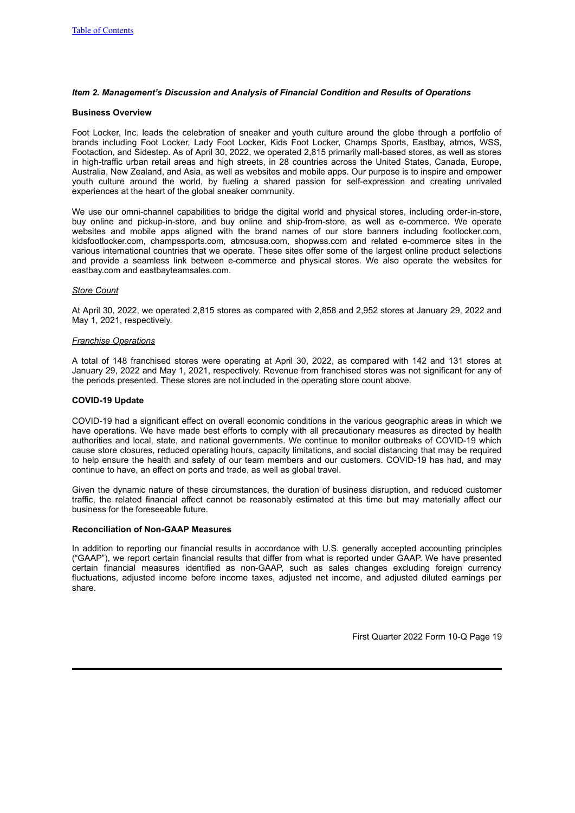#### <span id="page-21-0"></span>*Item 2. Management's Discussion and Analysis of Financial Condition and Results of Operations*

#### **Business Overview**

Foot Locker, Inc. leads the celebration of sneaker and youth culture around the globe through a portfolio of brands including Foot Locker, Lady Foot Locker, Kids Foot Locker, Champs Sports, Eastbay, atmos, WSS, Footaction, and Sidestep. As of April 30, 2022, we operated 2,815 primarily mall-based stores, as well as stores in high-traffic urban retail areas and high streets, in 28 countries across the United States, Canada, Europe, Australia, New Zealand, and Asia, as well as websites and mobile apps. Our purpose is to inspire and empower youth culture around the world, by fueling a shared passion for self-expression and creating unrivaled experiences at the heart of the global sneaker community.

We use our omni-channel capabilities to bridge the digital world and physical stores, including order-in-store, buy online and pickup-in-store, and buy online and ship-from-store, as well as e-commerce. We operate websites and mobile apps aligned with the brand names of our store banners including footlocker.com, kidsfootlocker.com, champssports.com, atmosusa.com, shopwss.com and related e-commerce sites in the various international countries that we operate. These sites offer some of the largest online product selections and provide a seamless link between e-commerce and physical stores. We also operate the websites for eastbay.com and eastbayteamsales.com.

#### *Store Count*

At April 30, 2022, we operated 2,815 stores as compared with 2,858 and 2,952 stores at January 29, 2022 and May 1, 2021, respectively.

#### *Franchise Operations*

A total of 148 franchised stores were operating at April 30, 2022, as compared with 142 and 131 stores at January 29, 2022 and May 1, 2021, respectively. Revenue from franchised stores was not significant for any of the periods presented. These stores are not included in the operating store count above.

#### **COVID-19 Update**

COVID-19 had a significant effect on overall economic conditions in the various geographic areas in which we have operations. We have made best efforts to comply with all precautionary measures as directed by health authorities and local, state, and national governments. We continue to monitor outbreaks of COVID-19 which cause store closures, reduced operating hours, capacity limitations, and social distancing that may be required to help ensure the health and safety of our team members and our customers. COVID-19 has had, and may continue to have, an effect on ports and trade, as well as global travel.

Given the dynamic nature of these circumstances, the duration of business disruption, and reduced customer traffic, the related financial affect cannot be reasonably estimated at this time but may materially affect our business for the foreseeable future.

#### **Reconciliation of Non-GAAP Measures**

In addition to reporting our financial results in accordance with U.S. generally accepted accounting principles ("GAAP"), we report certain financial results that differ from what is reported under GAAP. We have presented certain financial measures identified as non-GAAP, such as sales changes excluding foreign currency fluctuations, adjusted income before income taxes, adjusted net income, and adjusted diluted earnings per share.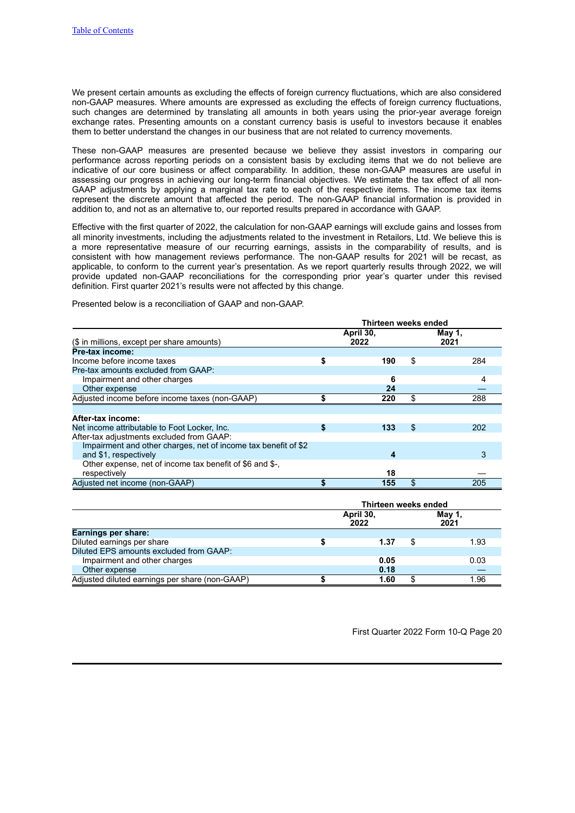We present certain amounts as excluding the effects of foreign currency fluctuations, which are also considered non-GAAP measures. Where amounts are expressed as excluding the effects of foreign currency fluctuations, such changes are determined by translating all amounts in both years using the prior-year average foreign exchange rates. Presenting amounts on a constant currency basis is useful to investors because it enables them to better understand the changes in our business that are not related to currency movements.

These non-GAAP measures are presented because we believe they assist investors in comparing our performance across reporting periods on a consistent basis by excluding items that we do not believe are indicative of our core business or affect comparability. In addition, these non-GAAP measures are useful in assessing our progress in achieving our long-term financial objectives. We estimate the tax effect of all non-GAAP adjustments by applying a marginal tax rate to each of the respective items. The income tax items represent the discrete amount that affected the period. The non-GAAP financial information is provided in addition to, and not as an alternative to, our reported results prepared in accordance with GAAP.

Effective with the first quarter of 2022, the calculation for non-GAAP earnings will exclude gains and losses from all minority investments, including the adjustments related to the investment in Retailors, Ltd. We believe this is a more representative measure of our recurring earnings, assists in the comparability of results, and is consistent with how management reviews performance. The non-GAAP results for 2021 will be recast, as applicable, to conform to the current year's presentation. As we report quarterly results through 2022, we will provide updated non-GAAP reconciliations for the corresponding prior year's quarter under this revised definition. First quarter 2021's results were not affected by this change.

|                                                                |    | Thirteen weeks ended |    |                |
|----------------------------------------------------------------|----|----------------------|----|----------------|
| (\$ in millions, except per share amounts)                     |    | April 30,<br>2022    |    | May 1,<br>2021 |
| Pre-tax income:                                                |    |                      |    |                |
| Income before income taxes                                     | \$ | 190                  | \$ | 284            |
| Pre-tax amounts excluded from GAAP:                            |    |                      |    |                |
| Impairment and other charges                                   |    | 6                    |    | 4              |
| Other expense                                                  |    | 24                   |    |                |
| Adjusted income before income taxes (non-GAAP)                 |    | 220                  | \$ | 288            |
|                                                                |    |                      |    |                |
| After-tax income:                                              |    |                      |    |                |
| Net income attributable to Foot Locker, Inc.                   | \$ | 133                  | \$ | 202            |
| After-tax adjustments excluded from GAAP:                      |    |                      |    |                |
| Impairment and other charges, net of income tax benefit of \$2 |    |                      |    |                |
| and \$1, respectively                                          |    | 4                    |    |                |
| Other expense, net of income tax benefit of \$6 and \$-.       |    |                      |    |                |
| respectively                                                   |    | 18                   |    |                |
| Adjusted net income (non-GAAP)                                 |    | 155                  | \$ | 205            |

Presented below is a reconciliation of GAAP and non-GAAP.

|                                                | Thirteen weeks ended |                   |  |                |  |  |
|------------------------------------------------|----------------------|-------------------|--|----------------|--|--|
|                                                |                      | April 30,<br>2022 |  | May 1,<br>2021 |  |  |
| Earnings per share:                            |                      |                   |  |                |  |  |
| Diluted earnings per share                     |                      | 1.37              |  | 1.93           |  |  |
| Diluted EPS amounts excluded from GAAP:        |                      |                   |  |                |  |  |
| Impairment and other charges                   |                      | 0.05              |  | 0.03           |  |  |
| Other expense                                  |                      | 0.18              |  |                |  |  |
| Adjusted diluted earnings per share (non-GAAP) |                      | 1.60              |  | 1.96           |  |  |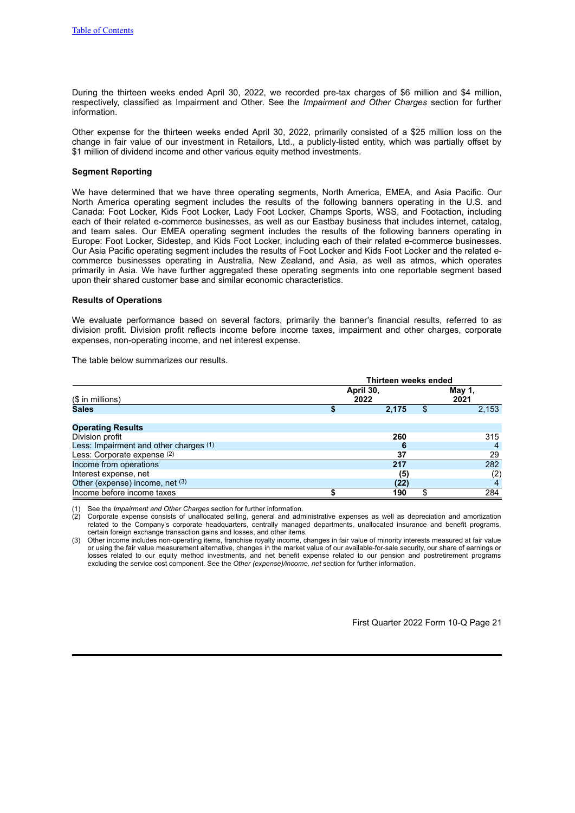During the thirteen weeks ended April 30, 2022, we recorded pre-tax charges of \$6 million and \$4 million, respectively, classified as Impairment and Other. See the *Impairment and Other Charges* section for further information.

Other expense for the thirteen weeks ended April 30, 2022, primarily consisted of a \$25 million loss on the change in fair value of our investment in Retailors, Ltd., a publicly-listed entity, which was partially offset by \$1 million of dividend income and other various equity method investments.

#### **Segment Reporting**

We have determined that we have three operating segments, North America, EMEA, and Asia Pacific. Our North America operating segment includes the results of the following banners operating in the U.S. and Canada: Foot Locker, Kids Foot Locker, Lady Foot Locker, Champs Sports, WSS, and Footaction, including each of their related e-commerce businesses, as well as our Eastbay business that includes internet, catalog, and team sales. Our EMEA operating segment includes the results of the following banners operating in Europe: Foot Locker, Sidestep, and Kids Foot Locker, including each of their related e-commerce businesses. Our Asia Pacific operating segment includes the results of Foot Locker and Kids Foot Locker and the related ecommerce businesses operating in Australia, New Zealand, and Asia, as well as atmos, which operates primarily in Asia. We have further aggregated these operating segments into one reportable segment based upon their shared customer base and similar economic characteristics.

#### **Results of Operations**

We evaluate performance based on several factors, primarily the banner's financial results, referred to as division profit. Division profit reflects income before income taxes, impairment and other charges, corporate expenses, non-operating income, and net interest expense.

The table below summarizes our results.

|                                        |  | Thirteen weeks ended |    |       |  |
|----------------------------------------|--|----------------------|----|-------|--|
| $$$ in millions)                       |  | April 30,<br>2022    |    |       |  |
| <b>Sales</b>                           |  | 2,175                | \$ | 2,153 |  |
| <b>Operating Results</b>               |  |                      |    |       |  |
| Division profit                        |  | 260                  |    | 315   |  |
| Less: Impairment and other charges (1) |  | 6                    |    |       |  |
| Less: Corporate expense (2)            |  | 37                   |    | 29    |  |
| Income from operations                 |  | 217                  |    | 282   |  |
| Interest expense, net                  |  | (5)                  |    | (2)   |  |
| Other (expense) income, net (3)        |  | (22)                 |    | 4     |  |
| Income before income taxes             |  | 190                  | \$ | 284   |  |

(1) See the *Impairment and Other Charges* section for further information.

(2) Corporate expense consists of unallocated selling, general and administrative expenses as well as depreciation and amortization related to the Company's corporate headquarters, centrally managed departments, unallocated insurance and benefit programs, certain foreign exchange transaction gains and losses, and other items.

(3) Other income includes non-operating items, franchise royalty income, changes in fair value of minority interests measured at fair value or using the fair value measurement alternative, changes in the market value of our available-for-sale security, our share of earnings or losses related to our equity method investments, and net benefit expense related to our pension and postretirement programs excluding the service cost component. See the *Other (expense)/income, net* section for further information.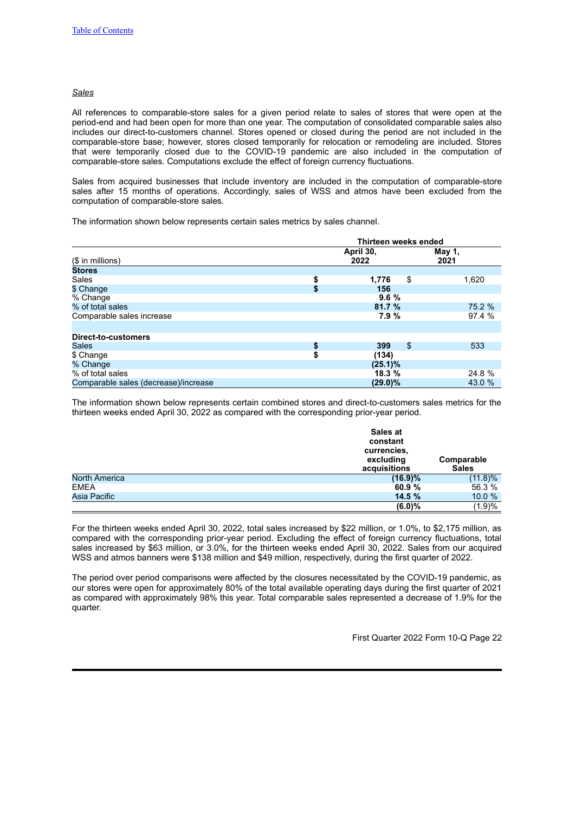### *Sales*

All references to comparable-store sales for a given period relate to sales of stores that were open at the period-end and had been open for more than one year. The computation of consolidated comparable sales also includes our direct-to-customers channel. Stores opened or closed during the period are not included in the comparable-store base; however, stores closed temporarily for relocation or remodeling are included. Stores that were temporarily closed due to the COVID-19 pandemic are also included in the computation of comparable-store sales. Computations exclude the effect of foreign currency fluctuations.

Sales from acquired businesses that include inventory are included in the computation of comparable-store sales after 15 months of operations. Accordingly, sales of WSS and atmos have been excluded from the computation of comparable-store sales.

The information shown below represents certain sales metrics by sales channel.

|                                      | Thirteen weeks ended |                       |  |
|--------------------------------------|----------------------|-----------------------|--|
| (\$ in millions)                     | April 30,<br>2022    | May 1,<br>2021        |  |
| <b>Stores</b>                        |                      |                       |  |
| Sales                                | \$<br>1,776          | \$<br>1,620           |  |
| \$ Change                            | \$<br>156            |                       |  |
| % Change                             | 9.6%                 |                       |  |
| % of total sales                     | 81.7%                | 75.2 %                |  |
| Comparable sales increase            | 7.9%                 | 97.4 %                |  |
|                                      |                      |                       |  |
| <b>Direct-to-customers</b>           |                      |                       |  |
| <b>Sales</b>                         | \$<br>399            | $\mathfrak{s}$<br>533 |  |
| \$ Change                            | \$<br>(134)          |                       |  |
| % Change                             | $(25.1)\%$           |                       |  |
| % of total sales                     | 18.3%                | 24.8 %                |  |
| Comparable sales (decrease)/increase | (29.0)%              | 43.0 %                |  |

The information shown below represents certain combined stores and direct-to-customers sales metrics for the thirteen weeks ended April 30, 2022 as compared with the corresponding prior-year period.

|                      | Sales at<br>constant<br>currencies,<br>excluding<br>acquisitions | Comparable<br><b>Sales</b> |
|----------------------|------------------------------------------------------------------|----------------------------|
| <b>North America</b> | (16.9)%                                                          | $(11.8)\%$                 |
| <b>EMEA</b>          | 60.9%                                                            | 56.3 %                     |
| Asia Pacific         | 14.5%                                                            | 10.0 %                     |
|                      | $(6.0)\%$                                                        | (1.9)%                     |

For the thirteen weeks ended April 30, 2022, total sales increased by \$22 million, or 1.0%, to \$2,175 million, as compared with the corresponding prior-year period. Excluding the effect of foreign currency fluctuations, total sales increased by \$63 million, or 3.0%, for the thirteen weeks ended April 30, 2022. Sales from our acquired WSS and atmos banners were \$138 million and \$49 million, respectively, during the first quarter of 2022.

The period over period comparisons were affected by the closures necessitated by the COVID-19 pandemic, as our stores were open for approximately 80% of the total available operating days during the first quarter of 2021 as compared with approximately 98% this year. Total comparable sales represented a decrease of 1.9% for the quarter.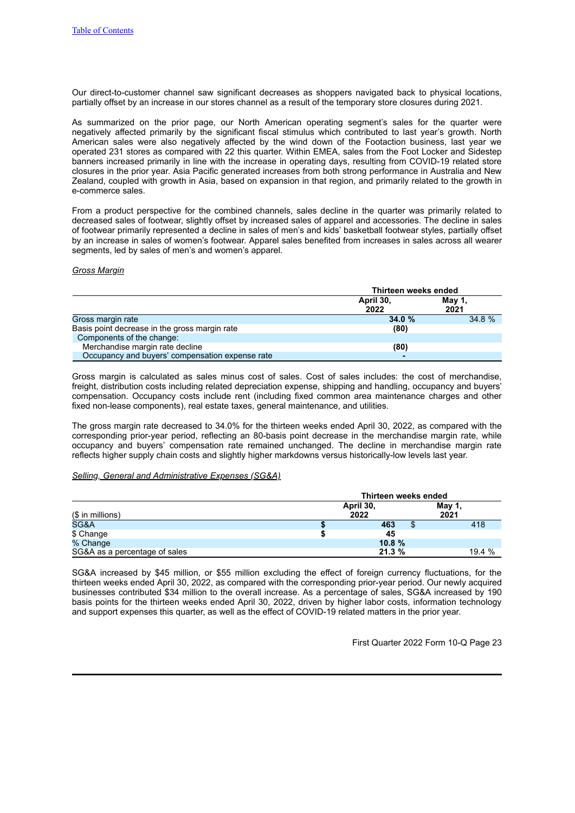Our direct-to-customer channel saw significant decreases as shoppers navigated back to physical locations, partially offset by an increase in our stores channel as a result of the temporary store closures during 2021.

As summarized on the prior page, our North American operating segment's sales for the quarter were negatively affected primarily by the significant fiscal stimulus which contributed to last year's growth. North American sales were also negatively affected by the wind down of the Footaction business, last year we operated 231 stores as compared with 22 this quarter. Within EMEA, sales from the Foot Locker and Sidestep banners increased primarily in line with the increase in operating days, resulting from COVID-19 related store closures in the prior year. Asia Pacific generated increases from both strong performance in Australia and New Zealand, coupled with growth in Asia, based on expansion in that region, and primarily related to the growth in e-commerce sales.

From a product perspective for the combined channels, sales decline in the quarter was primarily related to decreased sales of footwear, slightly offset by increased sales of apparel and accessories. The decline in sales of footwear primarily represented a decline in sales of men's and kids' basketball footwear styles, partially offset by an increase in sales of women's footwear. Apparel sales benefited from increases in sales across all wearer segments, led by sales of men's and women's apparel.

#### *Gross Margin*

|                                                 | Thirteen weeks ended |                |  |
|-------------------------------------------------|----------------------|----------------|--|
|                                                 | April 30,<br>2022    | May 1,<br>2021 |  |
| Gross margin rate                               | 34.0%                | 34.8%          |  |
| Basis point decrease in the gross margin rate   | (80)                 |                |  |
| Components of the change:                       |                      |                |  |
| Merchandise margin rate decline                 | (80)                 |                |  |
| Occupancy and buyers' compensation expense rate |                      |                |  |

Gross margin is calculated as sales minus cost of sales. Cost of sales includes: the cost of merchandise, freight, distribution costs including related depreciation expense, shipping and handling, occupancy and buyers' compensation. Occupancy costs include rent (including fixed common area maintenance charges and other fixed non-lease components), real estate taxes, general maintenance, and utilities.

The gross margin rate decreased to 34.0% for the thirteen weeks ended April 30, 2022, as compared with the corresponding prior-year period, reflecting an 80-basis point decrease in the merchandise margin rate, while occupancy and buyers' compensation rate remained unchanged. The decline in merchandise margin rate reflects higher supply chain costs and slightly higher markdowns versus historically-low levels last year.

#### *Selling, General and Administrative Expenses (SG&A)*

|                               | Thirteen weeks ended |        |  |  |
|-------------------------------|----------------------|--------|--|--|
| (\$ in millions)              | April 30,<br>2022    |        |  |  |
| SG&A                          | 463                  | 418    |  |  |
| \$ Change                     | 45                   |        |  |  |
| % Change                      | 10.8%                |        |  |  |
| SG&A as a percentage of sales | 21.3%                | 19.4 % |  |  |

SG&A increased by \$45 million, or \$55 million excluding the effect of foreign currency fluctuations, for the thirteen weeks ended April 30, 2022, as compared with the corresponding prior-year period. Our newly acquired businesses contributed \$34 million to the overall increase. As a percentage of sales, SG&A increased by 190 basis points for the thirteen weeks ended April 30, 2022, driven by higher labor costs, information technology and support expenses this quarter, as well as the effect of COVID-19 related matters in the prior year.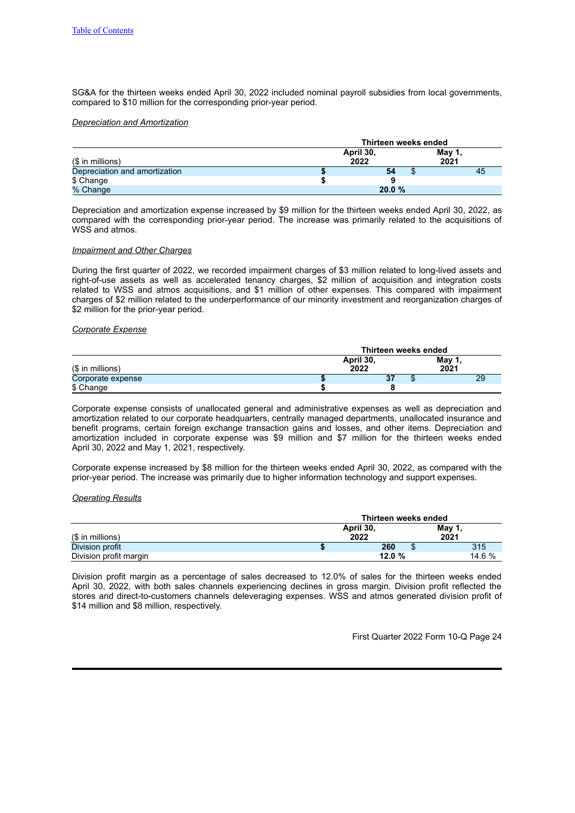SG&A for the thirteen weeks ended April 30, 2022 included nominal payroll subsidies from local governments, compared to \$10 million for the corresponding prior-year period.

#### *Depreciation and Amortization*

|                               | Thirteen weeks ended |      |  |        |  |
|-------------------------------|----------------------|------|--|--------|--|
|                               | April 30,            |      |  | May 1, |  |
| $$$ in millions)              |                      | 2022 |  | 2021   |  |
| Depreciation and amortization |                      | 54   |  |        |  |
| \$ Change                     |                      |      |  |        |  |
| % Change                      | 20.0%                |      |  |        |  |

Depreciation and amortization expense increased by \$9 million for the thirteen weeks ended April 30, 2022, as compared with the corresponding prior-year period. The increase was primarily related to the acquisitions of WSS and atmos.

#### *Impairment and Other Charges*

During the first quarter of 2022, we recorded impairment charges of \$3 million related to long-lived assets and right-of-use assets as well as accelerated tenancy charges, \$2 million of acquisition and integration costs related to WSS and atmos acquisitions, and \$1 million of other expenses. This compared with impairment charges of \$2 million related to the underperformance of our minority investment and reorganization charges of \$2 million for the prior-year period.

#### *Corporate Expense*

|                   | Thirteen weeks ended |               |    |  |
|-------------------|----------------------|---------------|----|--|
| (\$ in millions)  | April 30,<br>2022    | May 1<br>2021 |    |  |
| Corporate expense |                      |               | 29 |  |
| \$ Change         |                      |               |    |  |

Corporate expense consists of unallocated general and administrative expenses as well as depreciation and amortization related to our corporate headquarters, centrally managed departments, unallocated insurance and benefit programs, certain foreign exchange transaction gains and losses, and other items. Depreciation and amortization included in corporate expense was \$9 million and \$7 million for the thirteen weeks ended April 30, 2022 and May 1, 2021, respectively.

Corporate expense increased by \$8 million for the thirteen weeks ended April 30, 2022, as compared with the prior-year period. The increase was primarily due to higher information technology and support expenses.

#### *Operating Results*

|                        |           | Thirteen weeks ended |        |        |  |
|------------------------|-----------|----------------------|--------|--------|--|
|                        | April 30, |                      | May 1, |        |  |
| $$$ in millions)       | 2022      |                      | 2021   |        |  |
| Division profit        |           | 260                  |        | 315    |  |
| Division profit margin |           | 12.0%                |        | 14.6 % |  |

Division profit margin as a percentage of sales decreased to 12.0% of sales for the thirteen weeks ended April 30, 2022, with both sales channels experiencing declines in gross margin. Division profit reflected the stores and direct-to-customers channels deleveraging expenses. WSS and atmos generated division profit of \$14 million and \$8 million, respectively.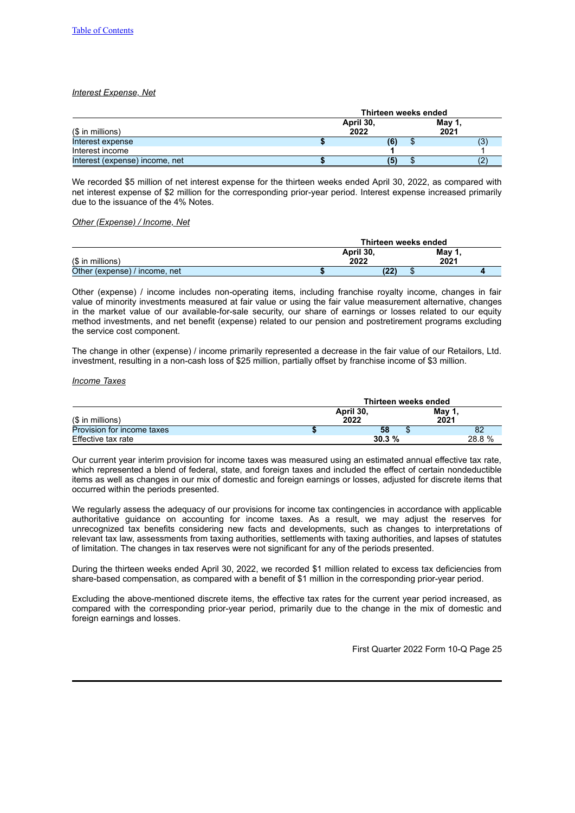#### *Interest Expense, Net*

|                                | Thirteen weeks ended |           |        |  |
|--------------------------------|----------------------|-----------|--------|--|
|                                |                      | April 30, | May 1, |  |
| (\$ in millions)               |                      | 2022      | 2021   |  |
| Interest expense               |                      | 61<br>۰D  | ιJ.    |  |
| Interest income                |                      |           |        |  |
| Interest (expense) income, net |                      | Ð         |        |  |

We recorded \$5 million of net interest expense for the thirteen weeks ended April 30, 2022, as compared with net interest expense of \$2 million for the corresponding prior-year period. Interest expense increased primarily due to the issuance of the 4% Notes.

#### *Other (Expense) / Income, Net*

|                               |           | Thirteen weeks ended |  |  |  |
|-------------------------------|-----------|----------------------|--|--|--|
|                               | April 30, | May 1                |  |  |  |
| $$$ in millions)              | 2022      | 2021                 |  |  |  |
| Other (expense) / income, net | (22)      |                      |  |  |  |

Other (expense) / income includes non-operating items, including franchise royalty income, changes in fair value of minority investments measured at fair value or using the fair value measurement alternative, changes in the market value of our available-for-sale security, our share of earnings or losses related to our equity method investments, and net benefit (expense) related to our pension and postretirement programs excluding the service cost component.

The change in other (expense) / income primarily represented a decrease in the fair value of our Retailors, Ltd. investment, resulting in a non-cash loss of \$25 million, partially offset by franchise income of \$3 million.

#### *Income Taxes*

|                            | Thirteen weeks ended |                |        |  |
|----------------------------|----------------------|----------------|--------|--|
| (\$ in millions)           | April 30.<br>2022    | May 1,<br>2021 |        |  |
| Provision for income taxes | 58                   |                |        |  |
| Effective tax rate         | $30.3 \%$            |                | 28.8 % |  |

Our current year interim provision for income taxes was measured using an estimated annual effective tax rate, which represented a blend of federal, state, and foreign taxes and included the effect of certain nondeductible items as well as changes in our mix of domestic and foreign earnings or losses, adjusted for discrete items that occurred within the periods presented.

We regularly assess the adequacy of our provisions for income tax contingencies in accordance with applicable authoritative guidance on accounting for income taxes. As a result, we may adjust the reserves for unrecognized tax benefits considering new facts and developments, such as changes to interpretations of relevant tax law, assessments from taxing authorities, settlements with taxing authorities, and lapses of statutes of limitation. The changes in tax reserves were not significant for any of the periods presented.

During the thirteen weeks ended April 30, 2022, we recorded \$1 million related to excess tax deficiencies from share-based compensation, as compared with a benefit of \$1 million in the corresponding prior-year period.

Excluding the above-mentioned discrete items, the effective tax rates for the current year period increased, as compared with the corresponding prior-year period, primarily due to the change in the mix of domestic and foreign earnings and losses.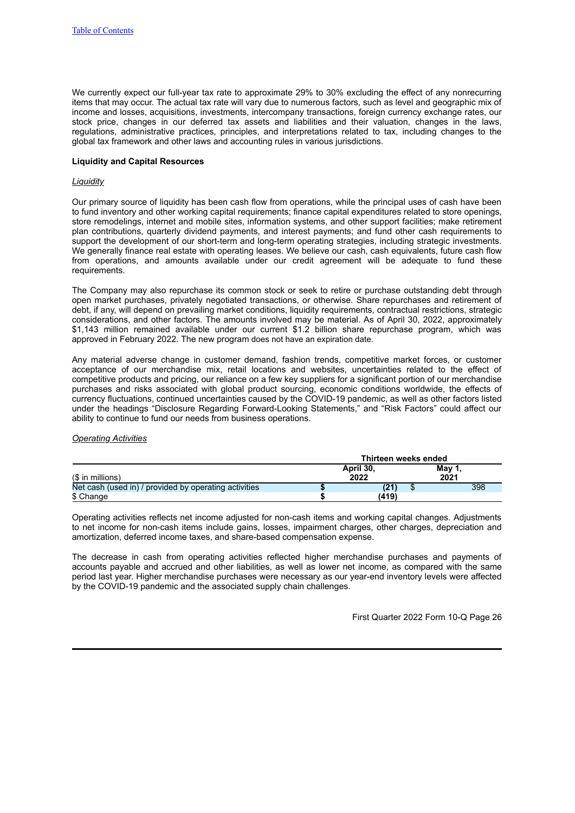We currently expect our full-year tax rate to approximate 29% to 30% excluding the effect of any nonrecurring items that may occur. The actual tax rate will vary due to numerous factors, such as level and geographic mix of income and losses, acquisitions, investments, intercompany transactions, foreign currency exchange rates, our stock price, changes in our deferred tax assets and liabilities and their valuation, changes in the laws, regulations, administrative practices, principles, and interpretations related to tax, including changes to the global tax framework and other laws and accounting rules in various jurisdictions.

#### **Liquidity and Capital Resources**

#### *Liquidity*

Our primary source of liquidity has been cash flow from operations, while the principal uses of cash have been to fund inventory and other working capital requirements; finance capital expenditures related to store openings, store remodelings, internet and mobile sites, information systems, and other support facilities; make retirement plan contributions, quarterly dividend payments, and interest payments; and fund other cash requirements to support the development of our short-term and long-term operating strategies, including strategic investments. We generally finance real estate with operating leases. We believe our cash, cash equivalents, future cash flow from operations, and amounts available under our credit agreement will be adequate to fund these requirements.

The Company may also repurchase its common stock or seek to retire or purchase outstanding debt through open market purchases, privately negotiated transactions, or otherwise. Share repurchases and retirement of debt, if any, will depend on prevailing market conditions, liquidity requirements, contractual restrictions, strategic considerations, and other factors. The amounts involved may be material. As of April 30, 2022, approximately \$1,143 million remained available under our current \$1.2 billion share repurchase program, which was approved in February 2022. The new program does not have an expiration date.

Any material adverse change in customer demand, fashion trends, competitive market forces, or customer acceptance of our merchandise mix, retail locations and websites, uncertainties related to the effect of competitive products and pricing, our reliance on a few key suppliers for a significant portion of our merchandise purchases and risks associated with global product sourcing, economic conditions worldwide, the effects of currency fluctuations, continued uncertainties caused by the COVID-19 pandemic, as well as other factors listed under the headings "Disclosure Regarding Forward-Looking Statements," and "Risk Factors" could affect our ability to continue to fund our needs from business operations.

#### *Operating Activities*

|                                                       | Thirteen weeks ended |           |  |        |
|-------------------------------------------------------|----------------------|-----------|--|--------|
|                                                       |                      | April 30, |  | May 1, |
| (\$ in millions)                                      |                      | 2022      |  | 2021   |
| Net cash (used in) / provided by operating activities |                      | (21)      |  | 398    |
| \$ Change                                             |                      | (419)     |  |        |

Operating activities reflects net income adjusted for non-cash items and working capital changes. Adjustments to net income for non-cash items include gains, losses, impairment charges, other charges, depreciation and amortization, deferred income taxes, and share-based compensation expense.

The decrease in cash from operating activities reflected higher merchandise purchases and payments of accounts payable and accrued and other liabilities, as well as lower net income, as compared with the same period last year. Higher merchandise purchases were necessary as our year-end inventory levels were affected by the COVID-19 pandemic and the associated supply chain challenges.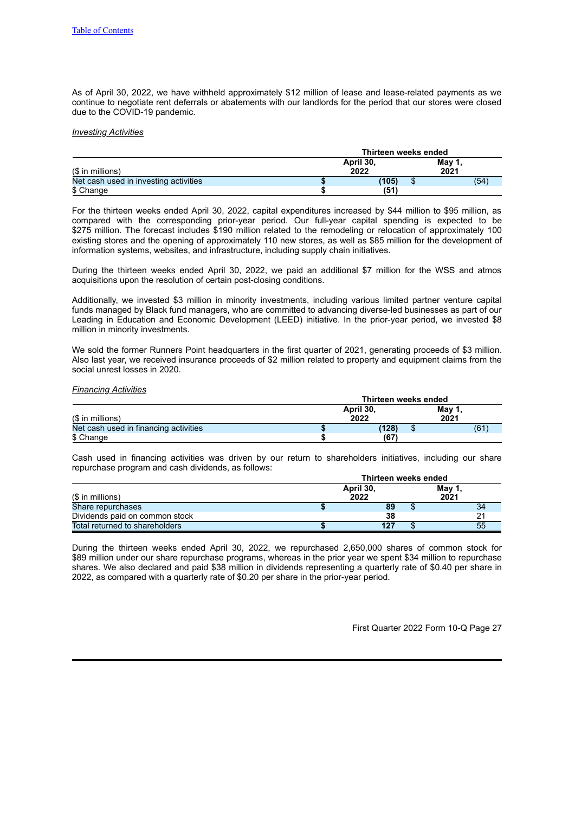As of April 30, 2022, we have withheld approximately \$12 million of lease and lease-related payments as we continue to negotiate rent deferrals or abatements with our landlords for the period that our stores were closed due to the COVID-19 pandemic.

#### *Investing Activities*

|                                       | Thirteen weeks ended |           |  |        |  |
|---------------------------------------|----------------------|-----------|--|--------|--|
|                                       |                      | April 30, |  | May 1, |  |
| (\$ in millions)                      |                      | 2022      |  | 2021   |  |
| Net cash used in investing activities |                      | (105)     |  | (54)   |  |
| \$ Change                             |                      | (51)      |  |        |  |

For the thirteen weeks ended April 30, 2022, capital expenditures increased by \$44 million to \$95 million, as compared with the corresponding prior-year period. Our full-year capital spending is expected to be \$275 million. The forecast includes \$190 million related to the remodeling or relocation of approximately 100 existing stores and the opening of approximately 110 new stores, as well as \$85 million for the development of information systems, websites, and infrastructure, including supply chain initiatives.

During the thirteen weeks ended April 30, 2022, we paid an additional \$7 million for the WSS and atmos acquisitions upon the resolution of certain post-closing conditions.

Additionally, we invested \$3 million in minority investments, including various limited partner venture capital funds managed by Black fund managers, who are committed to advancing diverse-led businesses as part of our Leading in Education and Economic Development (LEED) initiative. In the prior-year period, we invested \$8 million in minority investments.

We sold the former Runners Point headquarters in the first quarter of 2021, generating proceeds of \$3 million. Also last year, we received insurance proceeds of \$2 million related to property and equipment claims from the social unrest losses in 2020.

*Financing Activities*

|                                       | Thirteen weeks ended |  |        |
|---------------------------------------|----------------------|--|--------|
|                                       | April 30,            |  | May 1. |
| (\$ in millions)                      | 2022                 |  | 2021   |
| Net cash used in financing activities | (128)                |  | (61    |
| \$ Change                             | (67)                 |  |        |

Cash used in financing activities was driven by our return to shareholders initiatives, including our share repurchase program and cash dividends, as follows:

|                                | Thirteen weeks ended |           |  |        |
|--------------------------------|----------------------|-----------|--|--------|
|                                |                      | April 30, |  | May 1, |
| (\$ in millions)               |                      | 2022      |  | 2021   |
| Share repurchases              |                      | 89        |  | 34     |
| Dividends paid on common stock |                      | 38        |  |        |
| Total returned to shareholders |                      | 127       |  | 55     |

During the thirteen weeks ended April 30, 2022, we repurchased 2,650,000 shares of common stock for \$89 million under our share repurchase programs, whereas in the prior year we spent \$34 million to repurchase shares. We also declared and paid \$38 million in dividends representing a quarterly rate of \$0.40 per share in 2022, as compared with a quarterly rate of \$0.20 per share in the prior-year period.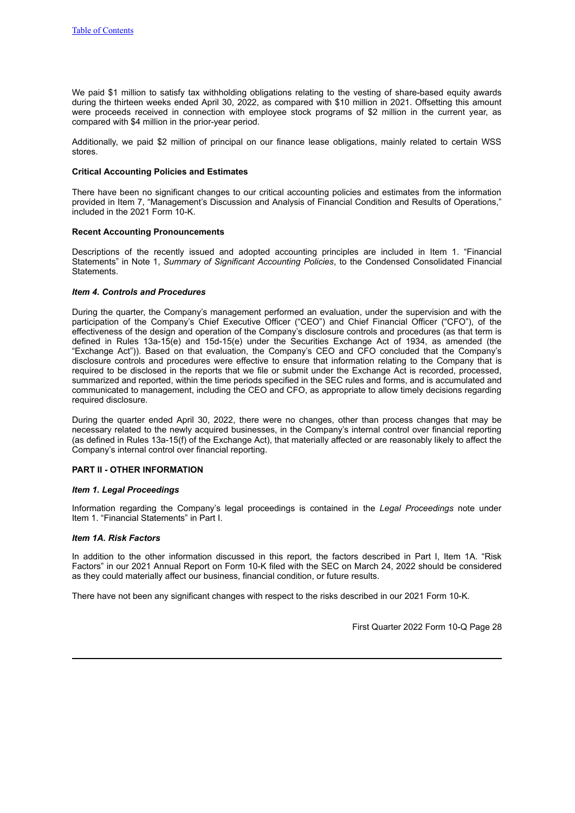We paid \$1 million to satisfy tax withholding obligations relating to the vesting of share-based equity awards during the thirteen weeks ended April 30, 2022, as compared with \$10 million in 2021. Offsetting this amount were proceeds received in connection with employee stock programs of \$2 million in the current year, as compared with \$4 million in the prior-year period.

Additionally, we paid \$2 million of principal on our finance lease obligations, mainly related to certain WSS stores.

#### **Critical Accounting Policies and Estimates**

There have been no significant changes to our critical accounting policies and estimates from the information provided in Item 7, "Management's Discussion and Analysis of Financial Condition and Results of Operations," included in the 2021 Form 10-K.

#### **Recent Accounting Pronouncements**

Descriptions of the recently issued and adopted accounting principles are included in Item 1. "Financial Statements" in Note 1, *Summary of Significant Accounting Policies*, to the Condensed Consolidated Financial Statements.

### <span id="page-30-0"></span>*Item 4. Controls and Procedures*

During the quarter, the Company's management performed an evaluation, under the supervision and with the participation of the Company's Chief Executive Officer ("CEO") and Chief Financial Officer ("CFO"), of the effectiveness of the design and operation of the Company's disclosure controls and procedures (as that term is defined in Rules 13a-15(e) and 15d-15(e) under the Securities Exchange Act of 1934, as amended (the "Exchange Act")). Based on that evaluation, the Company's CEO and CFO concluded that the Company's disclosure controls and procedures were effective to ensure that information relating to the Company that is required to be disclosed in the reports that we file or submit under the Exchange Act is recorded, processed, summarized and reported, within the time periods specified in the SEC rules and forms, and is accumulated and communicated to management, including the CEO and CFO, as appropriate to allow timely decisions regarding required disclosure.

During the quarter ended April 30, 2022, there were no changes, other than process changes that may be necessary related to the newly acquired businesses, in the Company's internal control over financial reporting (as defined in Rules 13a-15(f) of the Exchange Act), that materially affected or are reasonably likely to affect the Company's internal control over financial reporting.

### <span id="page-30-1"></span>**PART II - OTHER INFORMATION**

#### <span id="page-30-2"></span>*Item 1. Legal Proceedings*

Information regarding the Company's legal proceedings is contained in the *Legal Proceedings* note under Item 1. "Financial Statements" in Part I.

#### <span id="page-30-3"></span>*Item 1A. Risk Factors*

In addition to the other information discussed in this report, the factors described in Part I, Item 1A. "Risk Factors" in our 2021 Annual Report on Form 10-K filed with the SEC on March 24, 2022 should be considered as they could materially affect our business, financial condition, or future results.

There have not been any significant changes with respect to the risks described in our 2021 Form 10-K.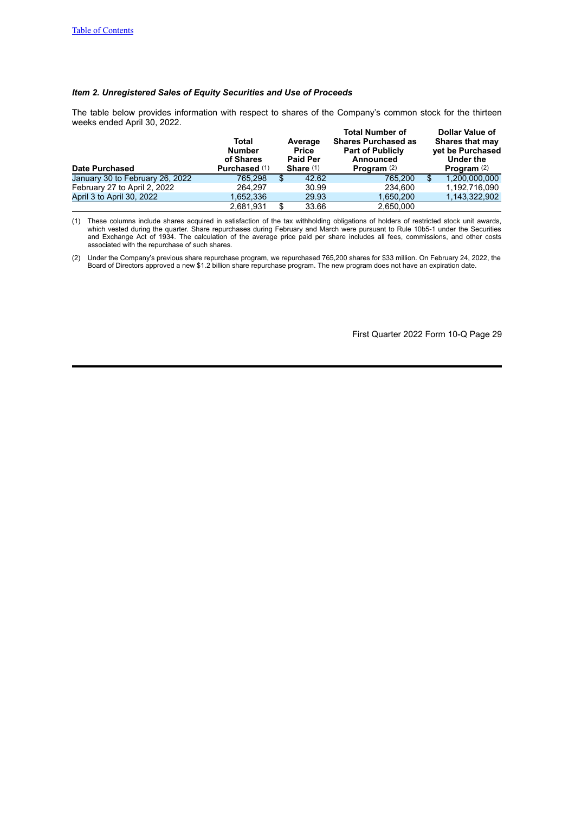### <span id="page-31-0"></span>*Item 2. Unregistered Sales of Equity Securities and Use of Proceeds*

The table below provides information with respect to shares of the Company's common stock for the thirteen weeks ended April 30, 2022.

| <b>Date Purchased</b>           | Total<br><b>Number</b><br>of Shares<br><b>Purchased</b> (1) |     | Average<br><b>Price</b><br><b>Paid Per</b><br>Share $(1)$ | <b>Total Number of</b><br><b>Shares Purchased as</b><br><b>Part of Publicly</b><br>Announced<br>Program $(2)$ | <b>Dollar Value of</b><br><b>Shares that may</b><br>vet be Purchased<br>Under the<br>Program $(2)$ |
|---------------------------------|-------------------------------------------------------------|-----|-----------------------------------------------------------|---------------------------------------------------------------------------------------------------------------|----------------------------------------------------------------------------------------------------|
| January 30 to February 26, 2022 | 765.298                                                     | \$. | 42.62                                                     | 765.200                                                                                                       | \$<br>1.200.000.000                                                                                |
| February 27 to April 2, 2022    | 264.297                                                     |     | 30.99                                                     | 234.600                                                                                                       | 1,192,716,090                                                                                      |
| April 3 to April 30, 2022       | 1,652,336                                                   |     | 29.93                                                     | 1,650,200                                                                                                     | 1,143,322,902                                                                                      |
|                                 | 2.681.931                                                   | \$  | 33.66                                                     | 2,650,000                                                                                                     |                                                                                                    |

(1) These columns include shares acquired in satisfaction of the tax withholding obligations of holders of restricted stock unit awards, which vested during the quarter. Share repurchases during February and March were pursuant to Rule 10b5-1 under the Securities and Exchange Act of 1934. The calculation of the average price paid per share includes all fees, commissions, and other costs associated with the repurchase of such shares.

(2) Under the Company's previous share repurchase program, we repurchased 765,200 shares for \$33 million. On February 24, 2022, the Board of Directors approved a new \$1.2 billion share repurchase program. The new program does not have an expiration date.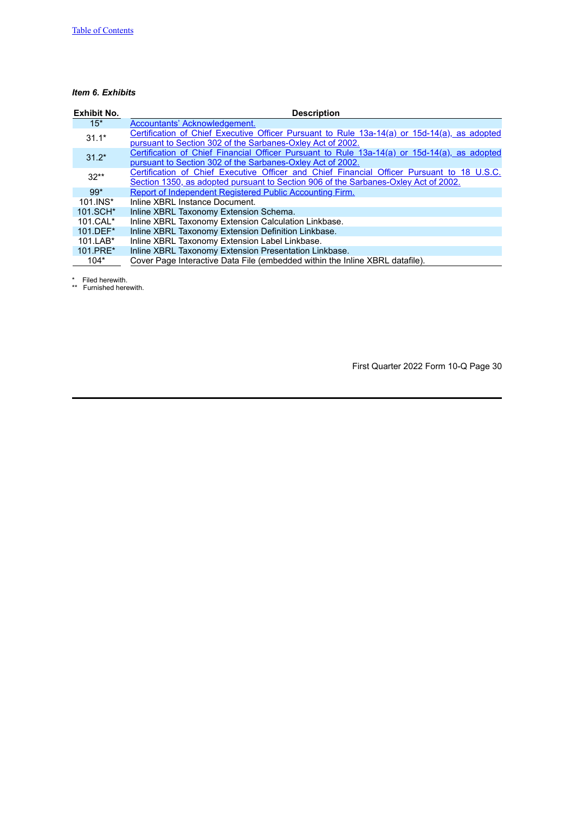## <span id="page-32-0"></span>*Item 6. Exhibits*

| <b>Exhibit No.</b> | <b>Description</b>                                                                           |
|--------------------|----------------------------------------------------------------------------------------------|
| $15^*$             | Accountants' Acknowledgement.                                                                |
| $31.1*$            | Certification of Chief Executive Officer Pursuant to Rule 13a-14(a) or 15d-14(a), as adopted |
|                    | pursuant to Section 302 of the Sarbanes-Oxley Act of 2002.                                   |
| $31.2*$            | Certification of Chief Financial Officer Pursuant to Rule 13a-14(a) or 15d-14(a), as adopted |
|                    | pursuant to Section 302 of the Sarbanes-Oxley Act of 2002.                                   |
| $32**$             | Certification of Chief Executive Officer and Chief Financial Officer Pursuant to 18 U.S.C.   |
|                    | Section 1350, as adopted pursuant to Section 906 of the Sarbanes-Oxley Act of 2002.          |
| $99*$              | Report of Independent Registered Public Accounting Firm.                                     |
| 101.INS*           | Inline XBRL Instance Document.                                                               |
| 101.SCH*           | Inline XBRL Taxonomy Extension Schema.                                                       |
| 101.CAL*           | Inline XBRL Taxonomy Extension Calculation Linkbase.                                         |
| 101.DEF*           | Inline XBRL Taxonomy Extension Definition Linkbase.                                          |
| 101.LAB*           | Inline XBRL Taxonomy Extension Label Linkbase.                                               |
| 101.PRE*           | Inline XBRL Taxonomy Extension Presentation Linkbase.                                        |
| $104*$             | Cover Page Interactive Data File (embedded within the Inline XBRL datafile).                 |

\* Filed herewith.

\*\* Furnished herewith.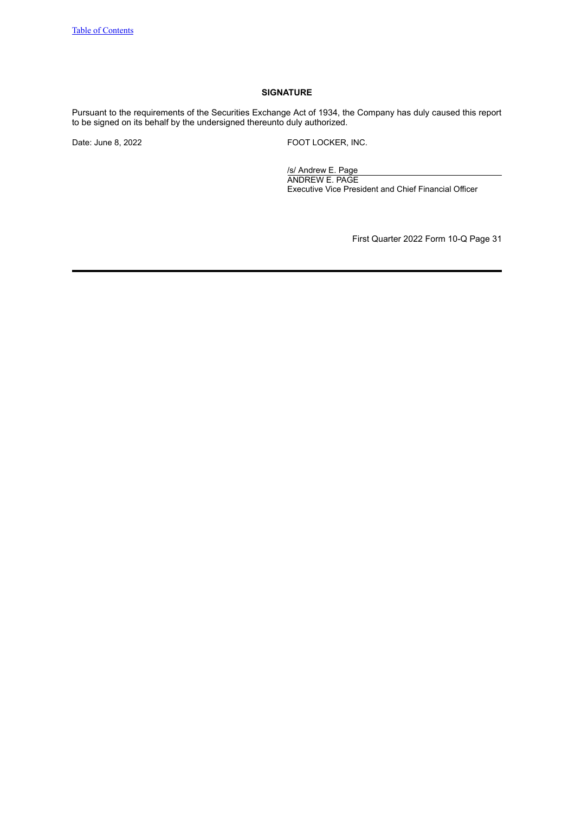### **SIGNATURE**

<span id="page-33-0"></span>Pursuant to the requirements of the Securities Exchange Act of 1934, the Company has duly caused this report to be signed on its behalf by the undersigned thereunto duly authorized.

Date: June 8, 2022 **FOOT LOCKER**, INC.

/s/ Andrew E. Page ANDREW E. PAGE Executive Vice President and Chief Financial Officer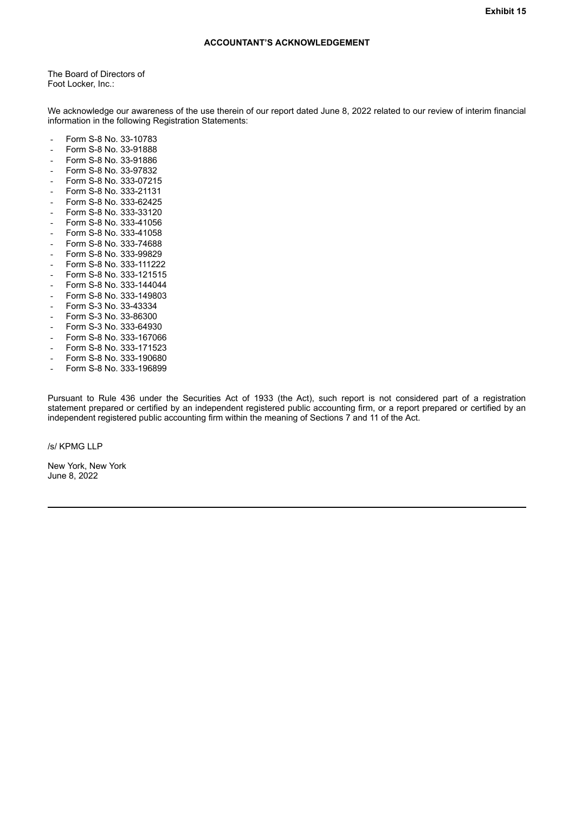#### **ACCOUNTANT'S ACKNOWLEDGEMENT**

<span id="page-34-0"></span>The Board of Directors of Foot Locker, Inc.:

We acknowledge our awareness of the use therein of our report dated June 8, 2022 related to our review of interim financial information in the following Registration Statements:

- Form S-8 No. 33-10783
- Form S-8 No. 33-91888
- Form S-8 No. 33-91886
- Form S-8 No. 33-97832
- Form S-8 No. 333-07215
- Form S-8 No. 333-21131
- Form S-8 No. 333-62425 Form S-8 No. 333-33120
- 
- Form S-8 No. 333-41056 Form S-8 No. 333-41058
- Form S-8 No. 333-74688
- Form S-8 No. 333-99829
- Form S-8 No. 333-111222
- Form S-8 No. 333-121515
- Form S-8 No. 333-144044
- Form S-8 No. 333-149803
- Form S-3 No. 33-43334
- Form S-3 No. 33-86300
- Form S-3 No. 333-64930
- Form S-8 No. 333-167066
- Form S-8 No. 333-171523
- Form S-8 No. 333-190680
- Form S-8 No. 333-196899

Pursuant to Rule 436 under the Securities Act of 1933 (the Act), such report is not considered part of a registration statement prepared or certified by an independent registered public accounting firm, or a report prepared or certified by an independent registered public accounting firm within the meaning of Sections 7 and 11 of the Act.

/s/ KPMG LLP

New York, New York June 8, 2022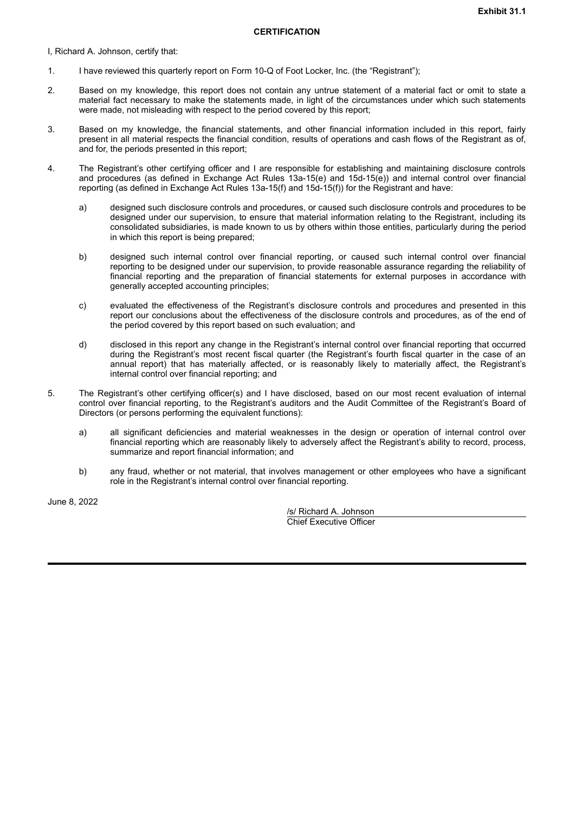<span id="page-35-0"></span>I, Richard A. Johnson, certify that:

- 1. I have reviewed this quarterly report on Form 10-Q of Foot Locker, Inc. (the "Registrant");
- 2. Based on my knowledge, this report does not contain any untrue statement of a material fact or omit to state a material fact necessary to make the statements made, in light of the circumstances under which such statements were made, not misleading with respect to the period covered by this report;
- 3. Based on my knowledge, the financial statements, and other financial information included in this report, fairly present in all material respects the financial condition, results of operations and cash flows of the Registrant as of, and for, the periods presented in this report;
- 4. The Registrant's other certifying officer and I are responsible for establishing and maintaining disclosure controls and procedures (as defined in Exchange Act Rules 13a-15(e) and 15d-15(e)) and internal control over financial reporting (as defined in Exchange Act Rules 13a-15(f) and 15d-15(f)) for the Registrant and have:
	- a) designed such disclosure controls and procedures, or caused such disclosure controls and procedures to be designed under our supervision, to ensure that material information relating to the Registrant, including its consolidated subsidiaries, is made known to us by others within those entities, particularly during the period in which this report is being prepared;
	- b) designed such internal control over financial reporting, or caused such internal control over financial reporting to be designed under our supervision, to provide reasonable assurance regarding the reliability of financial reporting and the preparation of financial statements for external purposes in accordance with generally accepted accounting principles;
	- c) evaluated the effectiveness of the Registrant's disclosure controls and procedures and presented in this report our conclusions about the effectiveness of the disclosure controls and procedures, as of the end of the period covered by this report based on such evaluation; and
	- d) disclosed in this report any change in the Registrant's internal control over financial reporting that occurred during the Registrant's most recent fiscal quarter (the Registrant's fourth fiscal quarter in the case of an annual report) that has materially affected, or is reasonably likely to materially affect, the Registrant's internal control over financial reporting; and
- 5. The Registrant's other certifying officer(s) and I have disclosed, based on our most recent evaluation of internal control over financial reporting, to the Registrant's auditors and the Audit Committee of the Registrant's Board of Directors (or persons performing the equivalent functions):
	- a) all significant deficiencies and material weaknesses in the design or operation of internal control over financial reporting which are reasonably likely to adversely affect the Registrant's ability to record, process, summarize and report financial information; and
	- b) any fraud, whether or not material, that involves management or other employees who have a significant role in the Registrant's internal control over financial reporting.

June 8, 2022

/s/ Richard A. Johnson Chief Executive Officer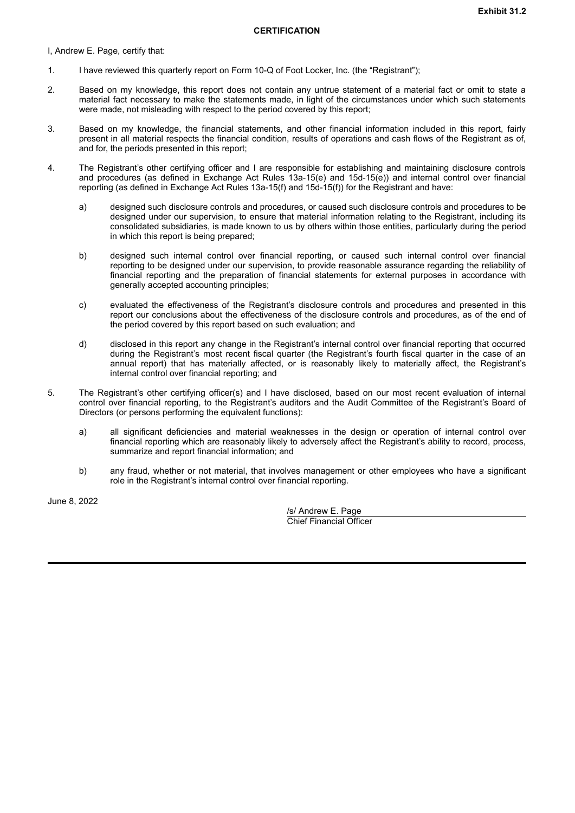#### <span id="page-36-0"></span>I, Andrew E. Page, certify that:

- 1. I have reviewed this quarterly report on Form 10-Q of Foot Locker, Inc. (the "Registrant");
- 2. Based on my knowledge, this report does not contain any untrue statement of a material fact or omit to state a material fact necessary to make the statements made, in light of the circumstances under which such statements were made, not misleading with respect to the period covered by this report;
- 3. Based on my knowledge, the financial statements, and other financial information included in this report, fairly present in all material respects the financial condition, results of operations and cash flows of the Registrant as of, and for, the periods presented in this report;
- 4. The Registrant's other certifying officer and I are responsible for establishing and maintaining disclosure controls and procedures (as defined in Exchange Act Rules 13a-15(e) and 15d-15(e)) and internal control over financial reporting (as defined in Exchange Act Rules 13a-15(f) and 15d-15(f)) for the Registrant and have:
	- a) designed such disclosure controls and procedures, or caused such disclosure controls and procedures to be designed under our supervision, to ensure that material information relating to the Registrant, including its consolidated subsidiaries, is made known to us by others within those entities, particularly during the period in which this report is being prepared;
	- b) designed such internal control over financial reporting, or caused such internal control over financial reporting to be designed under our supervision, to provide reasonable assurance regarding the reliability of financial reporting and the preparation of financial statements for external purposes in accordance with generally accepted accounting principles;
	- c) evaluated the effectiveness of the Registrant's disclosure controls and procedures and presented in this report our conclusions about the effectiveness of the disclosure controls and procedures, as of the end of the period covered by this report based on such evaluation; and
	- d) disclosed in this report any change in the Registrant's internal control over financial reporting that occurred during the Registrant's most recent fiscal quarter (the Registrant's fourth fiscal quarter in the case of an annual report) that has materially affected, or is reasonably likely to materially affect, the Registrant's internal control over financial reporting; and
- 5. The Registrant's other certifying officer(s) and I have disclosed, based on our most recent evaluation of internal control over financial reporting, to the Registrant's auditors and the Audit Committee of the Registrant's Board of Directors (or persons performing the equivalent functions):
	- a) all significant deficiencies and material weaknesses in the design or operation of internal control over financial reporting which are reasonably likely to adversely affect the Registrant's ability to record, process, summarize and report financial information; and
	- b) any fraud, whether or not material, that involves management or other employees who have a significant role in the Registrant's internal control over financial reporting.

June 8, 2022

/s/ Andrew E. Page Chief Financial Officer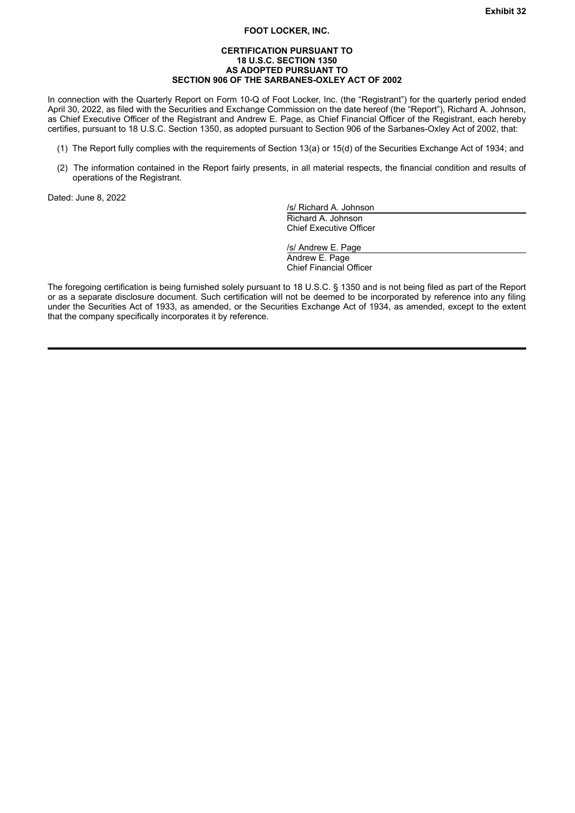#### **CERTIFICATION PURSUANT TO 18 U.S.C. SECTION 1350 AS ADOPTED PURSUANT TO SECTION 906 OF THE SARBANES-OXLEY ACT OF 2002**

<span id="page-37-0"></span>In connection with the Quarterly Report on Form 10-Q of Foot Locker, Inc. (the "Registrant") for the quarterly period ended April 30, 2022, as filed with the Securities and Exchange Commission on the date hereof (the "Report"), Richard A. Johnson, as Chief Executive Officer of the Registrant and Andrew E. Page, as Chief Financial Officer of the Registrant, each hereby certifies, pursuant to 18 U.S.C. Section 1350, as adopted pursuant to Section 906 of the Sarbanes-Oxley Act of 2002, that:

- (1) The Report fully complies with the requirements of Section 13(a) or 15(d) of the Securities Exchange Act of 1934; and
- (2) The information contained in the Report fairly presents, in all material respects, the financial condition and results of operations of the Registrant.

Dated: June 8, 2022

/s/ Richard A. Johnson Richard A. Johnson Chief Executive Officer

/s/ Andrew E. Page Andrew E. Page Chief Financial Officer

The foregoing certification is being furnished solely pursuant to 18 U.S.C. § 1350 and is not being filed as part of the Report or as a separate disclosure document. Such certification will not be deemed to be incorporated by reference into any filing under the Securities Act of 1933, as amended, or the Securities Exchange Act of 1934, as amended, except to the extent that the company specifically incorporates it by reference.